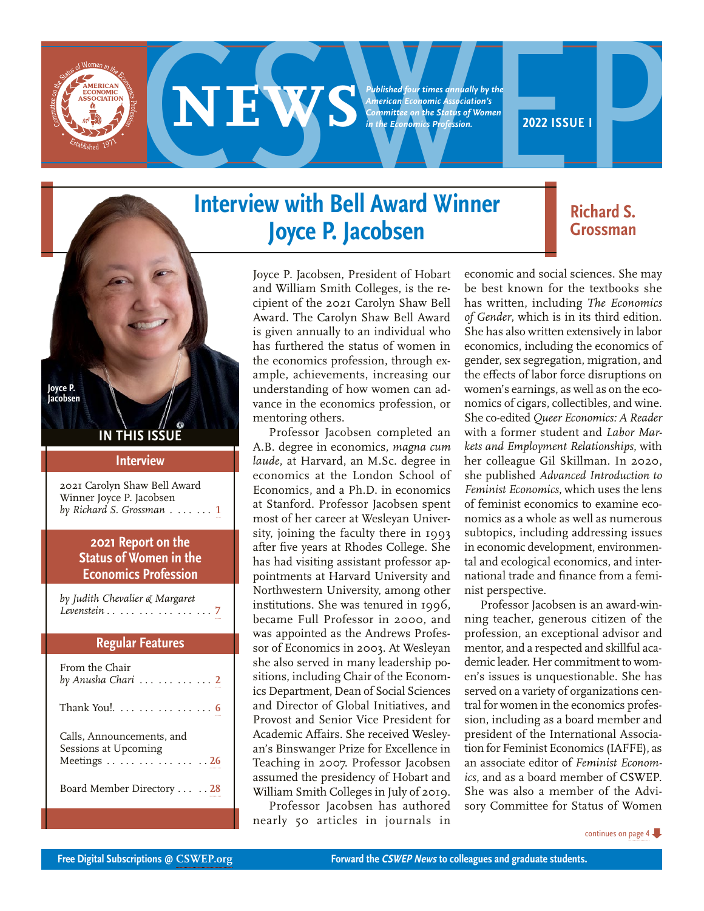<span id="page-0-0"></span>

**EXPERIENCE AND DESCRIPTION AND DESCRIPTION AND APPROXIMATELY SUBJECTIVE OF A PROPERTY COMMUNITY AND APPROXIMATELY AND APPROXIMATELY AND APPROXIMATELY AND APPROXIMATELY AND RESPONSE A PROFESSION.** *Published four times annually by the American Economic Association's Committee on the Status of Women in the Economics Profession.*

## **Interview with Bell Award Winner Joyce P. Jacobsen**

Joyce P. Jacobsen, President of Hobart and William Smith Colleges, is the recipient of the 2021 Carolyn Shaw Bell Award. The Carolyn Shaw Bell Award is given annually to an individual who has furthered the status of women in the economics profession, through example, achievements, increasing our understanding of how women can advance in the economics profession, or mentoring others.

Professor Jacobsen completed an A.B. degree in economics, *magna cum laude*, at Harvard, an M.Sc. degree in economics at the London School of Economics, and a Ph.D. in economics at Stanford. Professor Jacobsen spent most of her career at Wesleyan University, joining the faculty there in 1993 after five years at Rhodes College. She has had visiting assistant professor appointments at Harvard University and Northwestern University, among other institutions. She was tenured in 1996, became Full Professor in 2000, and was appointed as the Andrews Professor of Economics in 2003. At Wesleyan she also served in many leadership positions, including Chair of the Economics Department, Dean of Social Sciences and Director of Global Initiatives, and Provost and Senior Vice President for Academic Affairs. She received Wesleyan's Binswanger Prize for Excellence in Teaching in 2007. Professor Jacobsen assumed the presidency of Hobart and William Smith Colleges in July of 2019.

Professor Jacobsen has authored nearly 50 articles in journals in economic and social sciences. She may be best known for the textbooks she has written, including *The Economics of Gender*, which is in its third edition. She has also written extensively in labor economics, including the economics of gender, sex segregation, migration, and the effects of labor force disruptions on women's earnings, as well as on the economics of cigars, collectibles, and wine. She co-edited *Queer Economics: A Reader* with a former student and *Labor Markets and Employment Relationships*, with her colleague Gil Skillman. In 2020, she published *Advanced Introduction to Feminist Economics*, which uses the lens of feminist economics to examine economics as a whole as well as numerous subtopics, including addressing issues in economic development, environmental and ecological economics, and international trade and finance from a feminist perspective.

Professor Jacobsen is an award-winning teacher, generous citizen of the profession, an exceptional advisor and mentor, and a respected and skillful academic leader. Her commitment to women's issues is unquestionable. She has served on a variety of organizations central for women in the economics profession, including as a board member and president of the International Association for Feminist Economics (IAFFE), as an associate editor of *Feminist Economics*, and as a board member of CSWEP. She was also a member of the Advisory Committee for Status of Women

# **Grossman**

**Richard S.** 

**IN THIS ISSU** 

**Joyce P. Jacobsen**

#### **Interview**

2021 Carolyn Shaw Bell Award Winner Joyce P. Jacobsen *by Richard S. Grossman* . . . . . **1**

## **2021 Report on the Status of Women in the Economics Profession**

*by Judith Chevalier & Margaret Levenstein* . . . . . . . . . . . . . . . . . **[7](#page-6-0)**

#### **Regular Features**

| From the Chair<br>by Anusha Chari $\ldots \ldots \ldots 2$       |
|------------------------------------------------------------------|
| Thank You!. 6                                                    |
| Calls, Announcements, and<br>Sessions at Upcoming<br>Meetings 26 |
| Board Member Directory 28                                        |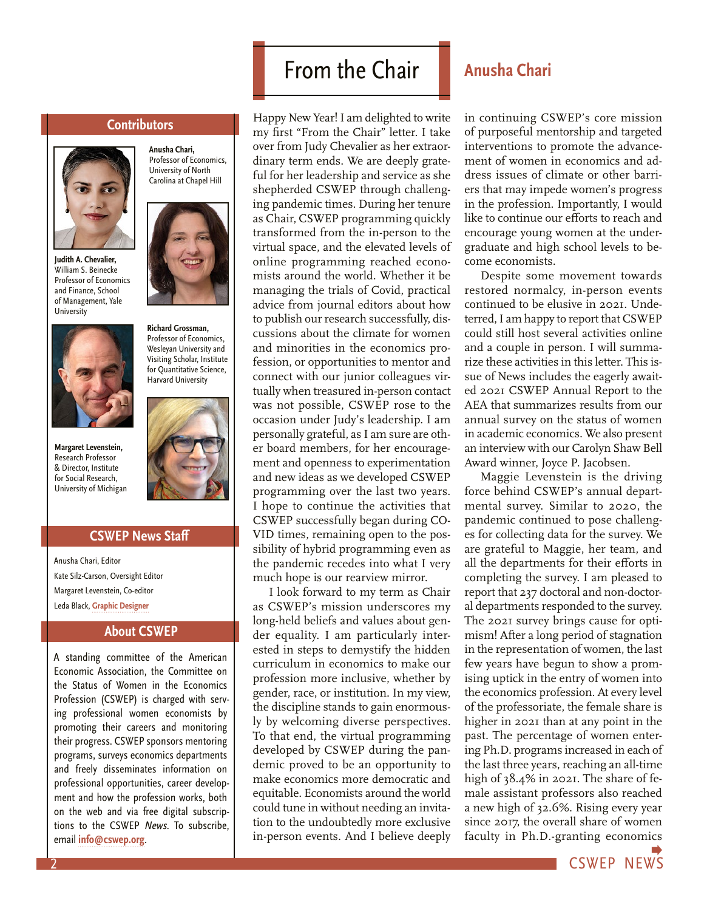#### **Contributors**

**Anusha Chari,**  Professor of Economics, University of North Carolina at Chapel Hill

<span id="page-1-0"></span>

**Judith A. Chevalier,** William S. Beinecke Professor of Economics and Finance, School of Management, Yale **University** 



**Margaret Levenstein,** Research Professor & Director, Institute for Social Research, University of Michigan

## **CSWEP News Staff**

Anusha Chari, Editor Kate Silz-Carson, Oversight Editor Margaret Levenstein, Co-editor Leda Black, **[Graphic Designer](https://www.ledablack.com/)**

### **About CSWEP**

A standing committee of the American Economic Association, the Committee on the Status of Women in the Economics Profession (CSWEP) is charged with serving professional women economists by promoting their careers and monitoring their progress. CSWEP sponsors mentoring programs, surveys economics departments and freely disseminates information on professional opportunities, career development and how the profession works, both on the web and via free digital subscriptions to the CSWEP News. To subscribe, email **[info@cswep.org](mailto:info%40cswep.org?subject=)**.

## From the Chair **Anusha Chari**

Happy New Year! I am delighted to write my first "From the Chair" letter. I take over from Judy Chevalier as her extraordinary term ends. We are deeply grateful for her leadership and service as she shepherded CSWEP through challenging pandemic times. During her tenure as Chair, CSWEP programming quickly transformed from the in-person to the virtual space, and the elevated levels of online programming reached economists around the world. Whether it be managing the trials of Covid, practical advice from journal editors about how to publish our research successfully, discussions about the climate for women and minorities in the economics profession, or opportunities to mentor and connect with our junior colleagues virtually when treasured in-person contact was not possible, CSWEP rose to the occasion under Judy's leadership. I am personally grateful, as I am sure are other board members, for her encouragement and openness to experimentation and new ideas as we developed CSWEP programming over the last two years. I hope to continue the activities that CSWEP successfully began during CO-VID times, remaining open to the possibility of hybrid programming even as the pandemic recedes into what I very much hope is our rearview mirror.

I look forward to my term as Chair as CSWEP's mission underscores my long-held beliefs and values about gender equality. I am particularly interested in steps to demystify the hidden curriculum in economics to make our profession more inclusive, whether by gender, race, or institution. In my view, the discipline stands to gain enormously by welcoming diverse perspectives. To that end, the virtual programming developed by CSWEP during the pandemic proved to be an opportunity to make economics more democratic and equitable. Economists around the world could tune in without needing an invitation to the undoubtedly more exclusive in-person events. And I believe deeply

in continuing CSWEP's core mission of purposeful mentorship and targeted interventions to promote the advancement of women in economics and address issues of climate or other barriers that may impede women's progress in the profession. Importantly, I would like to continue our efforts to reach and encourage young women at the undergraduate and high school levels to become economists.

Despite some movement towards restored normalcy, in-person events continued to be elusive in 2021. Undeterred, I am happy to report that CSWEP could still host several activities online and a couple in person. I will summarize these activities in this letter. This issue of News includes the eagerly awaited 2021 CSWEP Annual Report to the AEA that summarizes results from our annual survey on the status of women in academic economics. We also present an interview with our Carolyn Shaw Bell Award winner, Joyce P. Jacobsen.

Maggie Levenstein is the driving force behind CSWEP's annual departmental survey. Similar to 2020, the pandemic continued to pose challenges for collecting data for the survey. We are grateful to Maggie, her team, and all the departments for their efforts in completing the survey. I am pleased to report that 237 doctoral and non-doctoral departments responded to the survey. The 2021 survey brings cause for optimism! After a long period of stagnation in the representation of women, the last few years have begun to show a promising uptick in the entry of women into the economics profession. At every level of the professoriate, the female share is higher in 2021 than at any point in the past. The percentage of women entering Ph.D. programs increased in each of the last three years, reaching an all-time high of 38.4% in 2021. The share of female assistant professors also reached a new high of 32.6%. Rising every year since 2017, the overall share of women faculty in Ph.D.-granting economics

CSWEP NE[WS](#page-2-0)



**Richard Grossman,** Professor of Economics, Wesleyan University and Visiting Scholar, Institute for Quantitative Science, Harvard University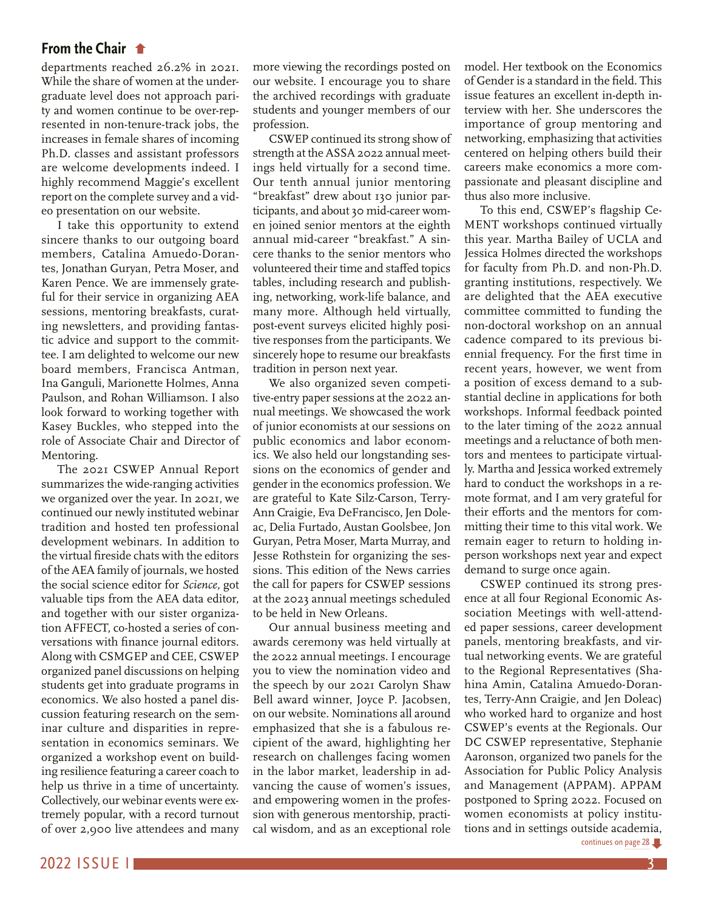## <span id="page-2-0"></span>**From the Chair**

[departments reached 26.2% in 2021.](#page-1-0)  While the share of women at the undergraduate level does not approach parity and women continue to be over-represented in non-tenure-track jobs, the increases in female shares of incoming Ph.D. classes and assistant professors are welcome developments indeed. I highly recommend Maggie's excellent report on the complete survey and a video presentation on our website.

I take this opportunity to extend sincere thanks to our outgoing board members, Catalina Amuedo-Dorantes, Jonathan Guryan, Petra Moser, and Karen Pence. We are immensely grateful for their service in organizing AEA sessions, mentoring breakfasts, curating newsletters, and providing fantastic advice and support to the committee. I am delighted to welcome our new board members, Francisca Antman, Ina Ganguli, Marionette Holmes, Anna Paulson, and Rohan Williamson. I also look forward to working together with Kasey Buckles, who stepped into the role of Associate Chair and Director of Mentoring.

The 2021 CSWEP Annual Report summarizes the wide-ranging activities we organized over the year. In 2021, we continued our newly instituted webinar tradition and hosted ten professional development webinars. In addition to the virtual fireside chats with the editors of the AEA family of journals, we hosted the social science editor for *Science,* got valuable tips from the AEA data editor, and together with our sister organization AFFECT, co-hosted a series of conversations with finance journal editors. Along with CSMGEP and CEE, CSWEP organized panel discussions on helping students get into graduate programs in economics. We also hosted a panel discussion featuring research on the seminar culture and disparities in representation in economics seminars. We organized a workshop event on building resilience featuring a career coach to help us thrive in a time of uncertainty. Collectively, our webinar events were extremely popular, with a record turnout of over 2,900 live attendees and many

more viewing the recordings posted on our website. I encourage you to share the archived recordings with graduate students and younger members of our profession.

CSWEP continued its strong show of strength at the ASSA 2022 annual meetings held virtually for a second time. Our tenth annual junior mentoring "breakfast" drew about 130 junior participants, and about 30 mid-career women joined senior mentors at the eighth annual mid-career "breakfast." A sincere thanks to the senior mentors who volunteered their time and staffed topics tables, including research and publishing, networking, work-life balance, and many more. Although held virtually, post-event surveys elicited highly positive responses from the participants. We sincerely hope to resume our breakfasts tradition in person next year.

We also organized seven competitive-entry paper sessions at the 2022 annual meetings. We showcased the work of junior economists at our sessions on public economics and labor economics. We also held our longstanding sessions on the economics of gender and gender in the economics profession. We are grateful to Kate Silz-Carson, Terry-Ann Craigie, Eva DeFrancisco, Jen Doleac, Delia Furtado, Austan Goolsbee, Jon Guryan, Petra Moser, Marta Murray, and Jesse Rothstein for organizing the sessions. This edition of the News carries the call for papers for CSWEP sessions at the 2023 annual meetings scheduled to be held in New Orleans.

Our annual business meeting and awards ceremony was held virtually at the 2022 annual meetings. I encourage you to view the nomination video and the speech by our 2021 Carolyn Shaw Bell award winner, Joyce P. Jacobsen, on our website. Nominations all around emphasized that she is a fabulous recipient of the award, highlighting her research on challenges facing women in the labor market, leadership in advancing the cause of women's issues, and empowering women in the profession with generous mentorship, practical wisdom, and as an exceptional role

model. Her textbook on the Economics of Gender is a standard in the field. This issue features an excellent in-depth interview with her. She underscores the importance of group mentoring and networking, emphasizing that activities centered on helping others build their careers make economics a more compassionate and pleasant discipline and thus also more inclusive.

To this end, CSWEP's flagship Ce-MENT workshops continued virtually this year. Martha Bailey of UCLA and Jessica Holmes directed the workshops for faculty from Ph.D. and non-Ph.D. granting institutions, respectively. We are delighted that the AEA executive committee committed to funding the non-doctoral workshop on an annual cadence compared to its previous biennial frequency. For the first time in recent years, however, we went from a position of excess demand to a substantial decline in applications for both workshops. Informal feedback pointed to the later timing of the 2022 annual meetings and a reluctance of both mentors and mentees to participate virtually. Martha and Jessica worked extremely hard to conduct the workshops in a remote format, and I am very grateful for their efforts and the mentors for committing their time to this vital work. We remain eager to return to holding inperson workshops next year and expect demand to surge once again.

CSWEP continued its strong presence at all four Regional Economic Association Meetings with well-attended paper sessions, career development panels, mentoring breakfasts, and virtual networking events. We are grateful to the Regional Representatives (Shahina Amin, Catalina Amuedo-Dorantes, Terry-Ann Craigie, and Jen Doleac) who worked hard to organize and host CSWEP's events at the Regionals. Our DC CSWEP representative, Stephanie Aaronson, organized two panels for the Association for Public Policy Analysis and Management (APPAM). APPAM postponed to Spring 2022. Focused on women economists at policy institu[tions and in settings outside academia,](#page-27-0)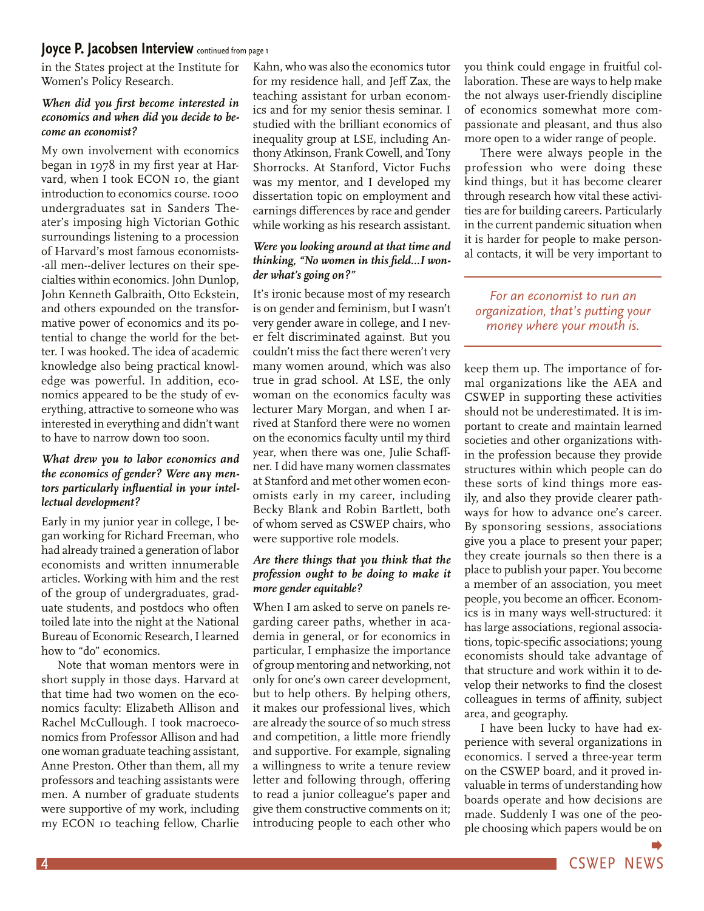## <span id="page-3-0"></span>**[Joyce P. Jacobsen Interview](#page-0-0)** continued from page 1

in the States project at the Institute for Women's Policy Research.

#### *When did you first become interested in economics and when did you decide to become an economist?*

My own involvement with economics began in 1978 in my first year at Harvard, when I took ECON 10, the giant introduction to economics course. 1000 undergraduates sat in Sanders Theater's imposing high Victorian Gothic surroundings listening to a procession of Harvard's most famous economists- -all men--deliver lectures on their specialties within economics. John Dunlop, John Kenneth Galbraith, Otto Eckstein, and others expounded on the transformative power of economics and its potential to change the world for the better. I was hooked. The idea of academic knowledge also being practical knowledge was powerful. In addition, economics appeared to be the study of everything, attractive to someone who was interested in everything and didn't want to have to narrow down too soon.

### *What drew you to labor economics and the economics of gender? Were any mentors particularly influential in your intellectual development?*

Early in my junior year in college, I began working for Richard Freeman, who had already trained a generation of labor economists and written innumerable articles. Working with him and the rest of the group of undergraduates, graduate students, and postdocs who often toiled late into the night at the National Bureau of Economic Research, I learned how to "do" economics.

Note that woman mentors were in short supply in those days. Harvard at that time had two women on the economics faculty: Elizabeth Allison and Rachel McCullough. I took macroeconomics from Professor Allison and had one woman graduate teaching assistant, Anne Preston. Other than them, all my professors and teaching assistants were men. A number of graduate students were supportive of my work, including my ECON 10 teaching fellow, Charlie

Kahn, who was also the economics tutor for my residence hall, and Jeff Zax, the teaching assistant for urban economics and for my senior thesis seminar. I studied with the brilliant economics of inequality group at LSE, including Anthony Atkinson, Frank Cowell, and Tony Shorrocks. At Stanford, Victor Fuchs was my mentor, and I developed my dissertation topic on employment and earnings differences by race and gender while working as his research assistant.

### *Were you looking around at that time and thinking, "No women in this field…I wonder what's going on?"*

It's ironic because most of my research is on gender and feminism, but I wasn't very gender aware in college, and I never felt discriminated against. But you couldn't miss the fact there weren't very many women around, which was also true in grad school. At LSE, the only woman on the economics faculty was lecturer Mary Morgan, and when I arrived at Stanford there were no women on the economics faculty until my third year, when there was one, Julie Schaffner. I did have many women classmates at Stanford and met other women economists early in my career, including Becky Blank and Robin Bartlett, both of whom served as CSWEP chairs, who were supportive role models.

#### *Are there things that you think that the profession ought to be doing to make it more gender equitable?*

When I am asked to serve on panels regarding career paths, whether in academia in general, or for economics in particular, I emphasize the importance of group mentoring and networking, not only for one's own career development, but to help others. By helping others, it makes our professional lives, which are already the source of so much stress and competition, a little more friendly and supportive. For example, signaling a willingness to write a tenure review letter and following through, offering to read a junior colleague's paper and give them constructive comments on it; introducing people to each other who

you think could engage in fruitful collaboration. These are ways to help make the not always user-friendly discipline of economics somewhat more compassionate and pleasant, and thus also more open to a wider range of people.

There were always people in the profession who were doing these kind things, but it has become clearer through research how vital these activities are for building careers. Particularly in the current pandemic situation when it is harder for people to make personal contacts, it will be very important to

## *For an economist to run an organization, that's putting your money where your mouth is.*

keep them up. The importance of formal organizations like the AEA and CSWEP in supporting these activities should not be underestimated. It is important to create and maintain learned societies and other organizations within the profession because they provide structures within which people can do these sorts of kind things more easily, and also they provide clearer pathways for how to advance one's career. By sponsoring sessions, associations give you a place to present your paper; they create journals so then there is a place to publish your paper. You become a member of an association, you meet people, you become an officer. Economics is in many ways well-structured: it has large associations, regional associations, topic-specific associations; young economists should take advantage of that structure and work within it to develop their networks to find the closest colleagues in terms of affinity, subject area, and geography.

I have been lucky to have had experience with several organizations in economics. I served a three-year term on the CSWEP board, and it proved invaluable in terms of understanding how boards operate and how decisions are made. Suddenly I was one of the people choosing which papers would be on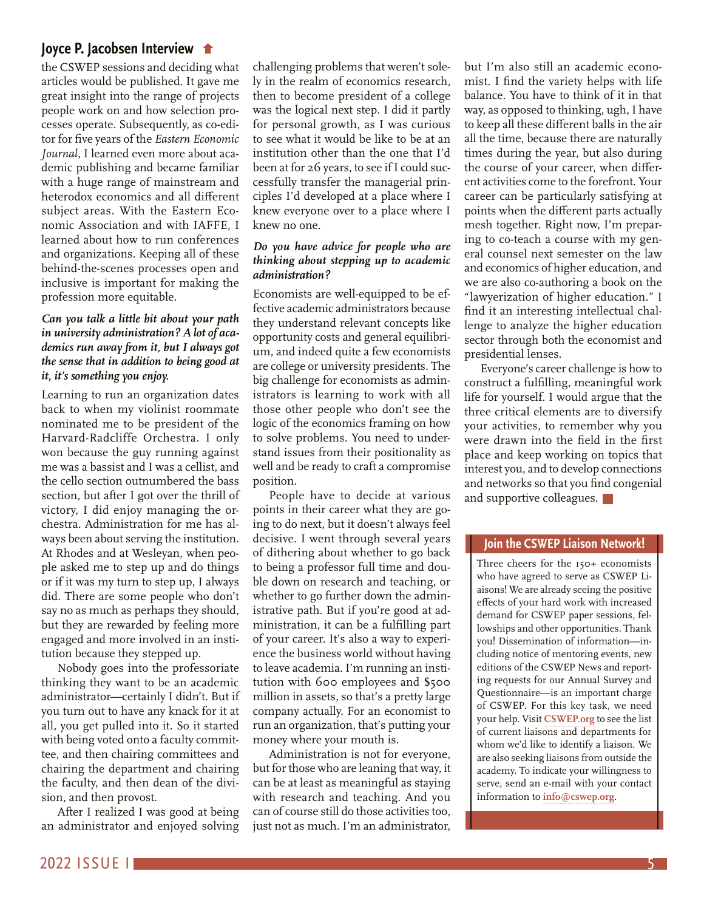## **[Joyce P. Jacobsen Interview](#page-3-0)**

the CSWEP sessions and deciding what articles would be published. It gave me great insight into the range of projects people work on and how selection processes operate. Subsequently, as co-editor for five years of the *Eastern Economic Journal*, I learned even more about academic publishing and became familiar with a huge range of mainstream and heterodox economics and all different subject areas. With the Eastern Economic Association and with IAFFE, I learned about how to run conferences and organizations. Keeping all of these behind-the-scenes processes open and inclusive is important for making the profession more equitable.

### *Can you talk a little bit about your path in university administration? A lot of academics run away from it, but I always got the sense that in addition to being good at it, it's something you enjoy.*

Learning to run an organization dates back to when my violinist roommate nominated me to be president of the Harvard-Radcliffe Orchestra. I only won because the guy running against me was a bassist and I was a cellist, and the cello section outnumbered the bass section, but after I got over the thrill of victory, I did enjoy managing the orchestra. Administration for me has always been about serving the institution. At Rhodes and at Wesleyan, when people asked me to step up and do things or if it was my turn to step up, I always did. There are some people who don't say no as much as perhaps they should, but they are rewarded by feeling more engaged and more involved in an institution because they stepped up.

Nobody goes into the professoriate thinking they want to be an academic administrator—certainly I didn't. But if you turn out to have any knack for it at all, you get pulled into it. So it started with being voted onto a faculty committee, and then chairing committees and chairing the department and chairing the faculty, and then dean of the division, and then provost.

After I realized I was good at being an administrator and enjoyed solving challenging problems that weren't solely in the realm of economics research, then to become president of a college was the logical next step. I did it partly for personal growth, as I was curious to see what it would be like to be at an institution other than the one that I'd been at for 26 years, to see if I could successfully transfer the managerial principles I'd developed at a place where I knew everyone over to a place where I knew no one.

### *Do you have advice for people who are thinking about stepping up to academic administration?*

Economists are well-equipped to be effective academic administrators because they understand relevant concepts like opportunity costs and general equilibrium, and indeed quite a few economists are college or university presidents. The big challenge for economists as administrators is learning to work with all those other people who don't see the logic of the economics framing on how to solve problems. You need to understand issues from their positionality as well and be ready to craft a compromise position.

People have to decide at various points in their career what they are going to do next, but it doesn't always feel decisive. I went through several years of dithering about whether to go back to being a professor full time and double down on research and teaching, or whether to go further down the administrative path. But if you're good at administration, it can be a fulfilling part of your career. It's also a way to experience the business world without having to leave academia. I'm running an institution with 600 employees and \$500 million in assets, so that's a pretty large company actually. For an economist to run an organization, that's putting your money where your mouth is.

Administration is not for everyone, but for those who are leaning that way, it can be at least as meaningful as staying with research and teaching. And you can of course still do those activities too, just not as much. I'm an administrator, but I'm also still an academic economist. I find the variety helps with life balance. You have to think of it in that way, as opposed to thinking, ugh, I have to keep all these different balls in the air all the time, because there are naturally times during the year, but also during the course of your career, when different activities come to the forefront. Your career can be particularly satisfying at points when the different parts actually mesh together. Right now, I'm preparing to co-teach a course with my general counsel next semester on the law and economics of higher education, and we are also co-authoring a book on the "lawyerization of higher education." I find it an interesting intellectual challenge to analyze the higher education sector through both the economist and presidential lenses.

Everyone's career challenge is how to construct a fulfilling, meaningful work life for yourself. I would argue that the three critical elements are to diversify your activities, to remember why you were drawn into the field in the first place and keep working on topics that interest you, and to develop connections and networks so that you find congenial and supportive colleagues.

### **Join the CSWEP Liaison Network!**

Three cheers for the 150+ economists who have agreed to serve as CSWEP Liaisons! We are already seeing the positive effects of your hard work with increased demand for CSWEP paper sessions, fellowships and other opportunities. Thank you! Dissemination of information—including notice of mentoring events, new editions of the CSWEP News and reporting requests for our Annual Survey and Questionnaire—is an important charge of CSWEP. For this key task, we need your help. Visit **[CSWEP.org](https://www.aeaweb.org/about-aea/committees/cswep)** to see the list of current liaisons and departments for whom we'd like to identify a liaison. We are also seeking liaisons from outside the academy. To indicate your willingness to serve, send an e-mail with your contact information to **[info@cswep.org](mailto:info%40cswep.org?subject=)**.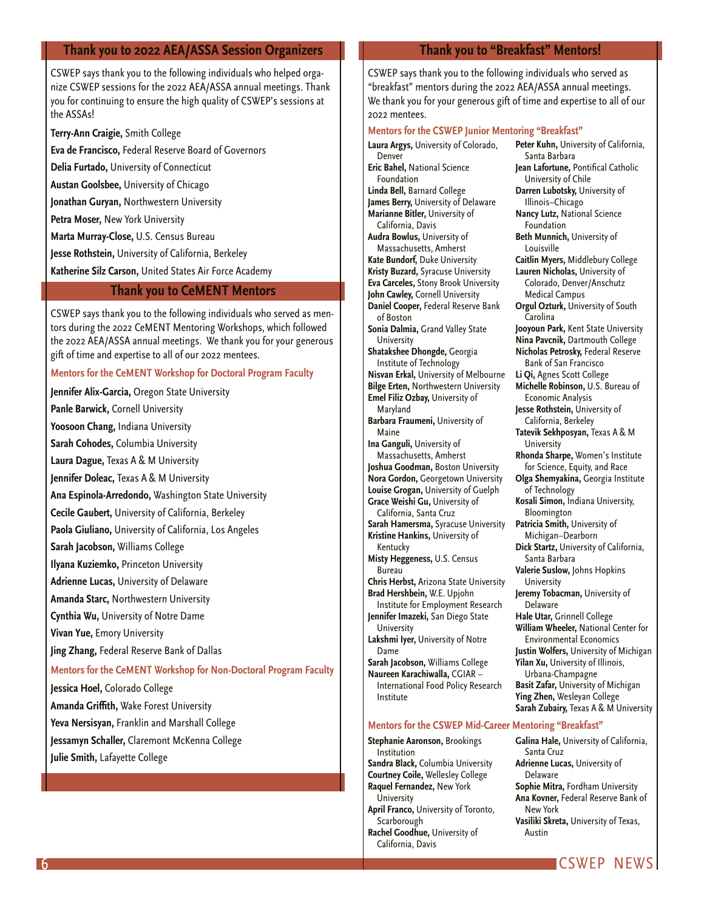#### <span id="page-5-0"></span>**Thank you to 2022 AEA/ASSA Session Organizers**

CSWEP says thank you to the following individuals who helped organize CSWEP sessions for the 2022 AEA/ASSA annual meetings. Thank you for continuing to ensure the high quality of CSWEP's sessions at the ASSAs!

**Terry-Ann Craigie,** Smith College

**Eva de Francisco,** Federal Reserve Board of Governors

**Delia Furtado,** University of Connecticut

**Austan Goolsbee,** University of Chicago

**Jonathan Guryan,** Northwestern University

**Petra Moser,** New York University

**Marta Murray-Close,** U.S. Census Bureau

**Jesse Rothstein,** University of California, Berkeley

**Katherine Silz Carson,** United States Air Force Academy

## **Thank you to CeMENT Mentors**

CSWEP says thank you to the following individuals who served as mentors during the 2022 CeMENT Mentoring Workshops, which followed the 2022 AEA/ASSA annual meetings. We thank you for your generous gift of time and expertise to all of our 2022 mentees.

#### **Mentors for the CeMENT Workshop for Doctoral Program Faculty**

**Jennifer Alix-Garcia,** Oregon State University **Panle Barwick,** Cornell University

**Yoosoon Chang,** Indiana University

**Sarah Cohodes,** Columbia University **Laura Dague,** Texas A & M University

**Jennifer Doleac,** Texas A & M University

**Ana Espinola-Arredondo,** Washington State University

**Cecile Gaubert,** University of California, Berkeley

**Paola Giuliano,** University of California, Los Angeles

**Sarah Jacobson,** Williams College

**Ilyana Kuziemko,** Princeton University

**Adrienne Lucas,** University of Delaware

**Amanda Starc,** Northwestern University

**Cynthia Wu,** University of Notre Dame

**Vivan Yue,** Emory University

**Jing Zhang,** Federal Reserve Bank of Dallas

#### **Mentors for the CeMENT Workshop for Non-Doctoral Program Faculty**

**Jessica Hoel,** Colorado College

**Amanda Griffith,** Wake Forest University

**Yeva Nersisyan,** Franklin and Marshall College

**Jessamyn Schaller,** Claremont McKenna College

**Julie Smith,** Lafayette College

#### **Thank you to "Breakfast" Mentors!**

CSWEP says thank you to the following individuals who served as "breakfast" mentors during the 2022 AEA/ASSA annual meetings. We thank you for your generous gift of time and expertise to all of our 2022 mentees.

#### **Mentors for the CSWEP Junior Mentoring "Breakfast"**

**Laura Argys,** University of Colorado, Denver **Eric Bahel,** National Science Foundation **Linda Bell,** Barnard College **James Berry,** University of Delaware **Marianne Bitler,** University of California, Davis **Audra Bowlus,** University of Massachusetts, Amherst **Kate Bundorf,** Duke University **Kristy Buzard,** Syracuse University **Eva Carceles,** Stony Brook University **John Cawley,** Cornell University **Daniel Cooper,** Federal Reserve Bank of Boston **Sonia Dalmia,** Grand Valley State University **Shatakshee Dhongde,** Georgia Institute of Technology **Nisvan Erkal,** University of Melbourne **Bilge Erten,** Northwestern University **Emel Filiz Ozbay,** University of Maryland **Barbara Fraumeni,** University of Maine **Ina Ganguli,** University of Massachusetts, Amherst **Joshua Goodman,** Boston University **Nora Gordon,** Georgetown University **Louise Grogan,** University of Guelph **Grace Weishi Gu,** University of California, Santa Cruz **Sarah Hamersma,** Syracuse University **Kristine Hankins,** University of Kentucky **Misty Heggeness,** U.S. Census Bureau **Chris Herbst,** Arizona State University **Brad Hershbein,** W.E. Upjohn Institute for Employment Research **Jennifer Imazeki,** San Diego State University **Lakshmi Iyer,** University of Notre Dame **Sarah Jacobson,** Williams College **Naureen Karachiwalla,** CGIAR – International Food Policy Research Institute **Peter Kuhn,** University of California,

#### **Mentors for the CSWEP Mid-Career Mentoring "Breakfast"**

**Stephanie Aaronson,** Brookings Institution **Sandra Black,** Columbia University **Courtney Coile,** Wellesley College **Raquel Fernandez,** New York **University April Franco,** University of Toronto, Scarborough

**Rachel Goodhue,** University of California, Davis

Santa Barbara **Jean Lafortune,** Pontifical Catholic University of Chile **Darren Lubotsky,** University of Illinois–Chicago **Nancy Lutz,** National Science Foundation **Beth Munnich,** University of Louisville **Caitlin Myers,** Middlebury College **Lauren Nicholas,** University of Colorado, Denver/Anschutz Medical Campus **Orgul Ozturk,** University of South Carolina **Jooyoun Park,** Kent State University **Nina Pavcnik,** Dartmouth College **Nicholas Petrosky,** Federal Reserve Bank of San Francisco **Li Qi,** Agnes Scott College **Michelle Robinson,** U.S. Bureau of Economic Analysis **Jesse Rothstein,** University of California, Berkeley **Tatevik Sekhposyan,** Texas A & M University **Rhonda Sharpe,** Women's Institute for Science, Equity, and Race **Olga Shemyakina,** Georgia Institute of Technology **Kosali Simon,** Indiana University, Bloomington **Patricia Smith,** University of Michigan–Dearborn **Dick Startz,** University of California, Santa Barbara **Valerie Suslow,** Johns Hopkins University **Jeremy Tobacman,** University of Delaware **Hale Utar,** Grinnell College **William Wheeler,** National Center for Environmental Economics **Justin Wolfers,** University of Michigan **Yilan Xu,** University of Illinois, Urbana-Champagne **Basit Zafar,** University of Michigan **Ying Zhen,** Wesleyan College **Sarah Zubairy,** Texas A & M University

**Galina Hale,** University of California, Santa Cruz **Adrienne Lucas,** University of Delaware **Sophie Mitra,** Fordham University **Ana Kovner,** Federal Reserve Bank of New York **Vasiliki Skreta,** University of Texas, Austin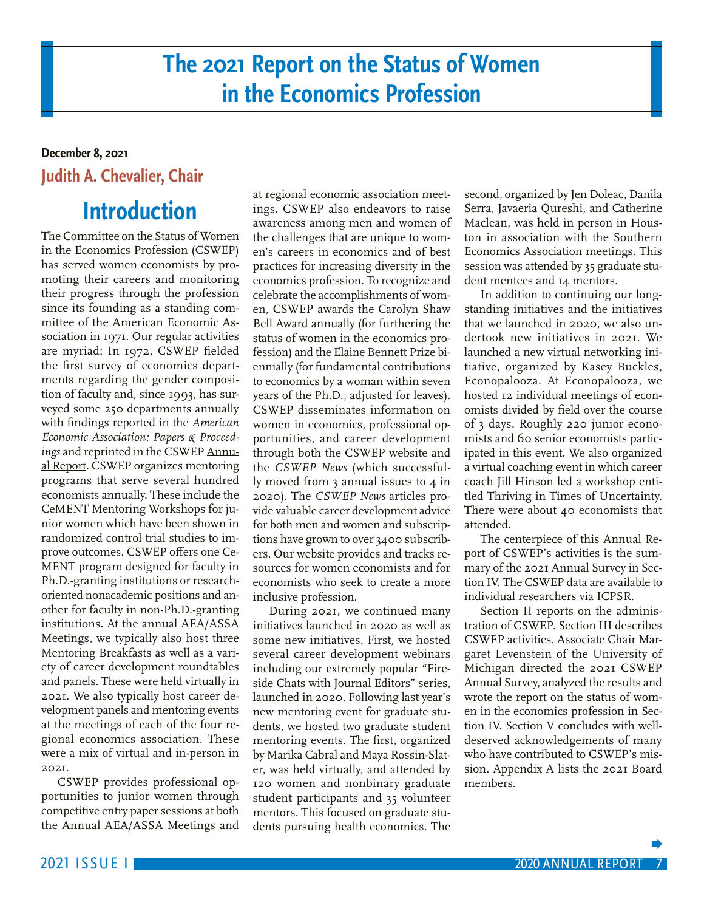## **The 2021 Report on the Status of Women in the Economics Profession**

## <span id="page-6-0"></span>**December 8, 2021 Judith A. Chevalier, Chair**

## **Introduction**

The Committee on the Status of Women in the Economics Profession (CSWEP) has served women economists by promoting their careers and monitoring their progress through the profession since its founding as a standing committee of the American Economic Association in 1971. Our regular activities are myriad: In 1972, CSWEP fielded the first survey of economics departments regarding the gender composition of faculty and, since 1993, has surveyed some 250 departments annually with findings reported in the *American Economic Association: Papers & Proceedings* and reprinted in the CSWEP [Annu](https://www.aeaweb.org/committees/cswep/annual_reports.php)[al Report](https://www.aeaweb.org/committees/cswep/annual_reports.php). CSWEP organizes mentoring programs that serve several hundred economists annually. These include the CeMENT Mentoring Workshops for junior women which have been shown in randomized control trial studies to improve outcomes. CSWEP offers one Ce-MENT program designed for faculty in Ph.D.-granting institutions or researchoriented nonacademic positions and another for faculty in non-Ph.D.-granting institutions**.** At the annual AEA/ASSA Meetings, we typically also host three Mentoring Breakfasts as well as a variety of career development roundtables and panels. These were held virtually in 2021. We also typically host career development panels and mentoring events at the meetings of each of the four regional economics association. These were a mix of virtual and in-person in 2021.

CSWEP provides professional opportunities to junior women through competitive entry paper sessions at both the Annual AEA/ASSA Meetings and

at regional economic association meetings. CSWEP also endeavors to raise awareness among men and women of the challenges that are unique to women's careers in economics and of best practices for increasing diversity in the economics profession. To recognize and celebrate the accomplishments of women, CSWEP awards the Carolyn Shaw Bell Award annually (for furthering the status of women in the economics profession) and the Elaine Bennett Prize biennially (for fundamental contributions to economics by a woman within seven years of the Ph.D., adjusted for leaves). CSWEP disseminates information on women in economics, professional opportunities, and career development through both the CSWEP website and the *CSWEP News* (which successfully moved from 3 annual issues to 4 in 2020). The *CSWEP News* articles provide valuable career development advice for both men and women and subscriptions have grown to over 3400 subscribers. Our website provides and tracks resources for women economists and for economists who seek to create a more inclusive profession.

During 2021, we continued many initiatives launched in 2020 as well as some new initiatives. First, we hosted several career development webinars including our extremely popular "Fireside Chats with Journal Editors" series, launched in 2020. Following last year's new mentoring event for graduate students, we hosted two graduate student mentoring events. The first, organized by Marika Cabral and Maya Rossin-Slater, was held virtually, and attended by 120 women and nonbinary graduate student participants and 35 volunteer mentors. This focused on graduate students pursuing health economics. The second, organized by Jen Doleac, Danila Serra, Javaeria Qureshi, and Catherine Maclean, was held in person in Houston in association with the Southern Economics Association meetings. This session was attended by 35 graduate student mentees and 14 mentors.

In addition to continuing our longstanding initiatives and the initiatives that we launched in 2020, we also undertook new initiatives in 2021. We launched a new virtual networking initiative, organized by Kasey Buckles, Econopalooza. At Econopalooza, we hosted 12 individual meetings of economists divided by field over the course of 3 days. Roughly 220 junior economists and 60 senior economists participated in this event. We also organized a virtual coaching event in which career coach Jill Hinson led a workshop entitled Thriving in Times of Uncertainty. There were about 40 economists that attended.

The centerpiece of this Annual Report of CSWEP's activities is the summary of the 2021 Annual Survey in Section IV. The CSWEP data are available to individual researchers via ICPSR.

Section II reports on the administration of CSWEP. Section III describes CSWEP activities. Associate Chair Margaret Levenstein of the University of Michigan directed the 2021 CSWEP Annual Survey, analyzed the results and wrote the report on the status of women in the economics profession in Section IV. Section V concludes with welldeserved acknowledgements of many who have contributed to CSWEP's mission. Appendix A lists the 2021 Board members.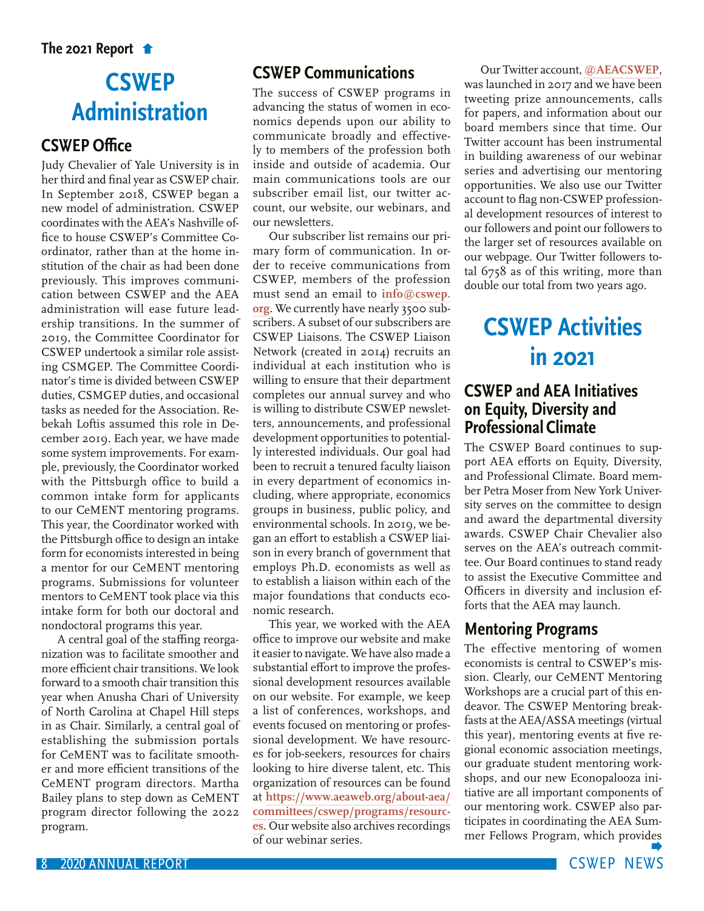## <span id="page-7-0"></span>**CSWEP Administration**

## **CSWEP Office**

Judy Chevalier of Yale University is in her third and final year as CSWEP chair. In September 2018, CSWEP began a new model of administration. CSWEP coordinates with the AEA's Nashville office to house CSWEP's Committee Coordinator, rather than at the home institution of the chair as had been done previously. This improves communication between CSWEP and the AEA administration will ease future leadership transitions. In the summer of 2019, the Committee Coordinator for CSWEP undertook a similar role assisting CSMGEP. The Committee Coordinator's time is divided between CSWEP duties, CSMGEP duties, and occasional tasks as needed for the Association. Rebekah Loftis assumed this role in December 2019. Each year, we have made some system improvements. For example, previously, the Coordinator worked with the Pittsburgh office to build a common intake form for applicants to our CeMENT mentoring programs. This year, the Coordinator worked with the Pittsburgh office to design an intake form for economists interested in being a mentor for our CeMENT mentoring programs. Submissions for volunteer mentors to CeMENT took place via this intake form for both our doctoral and nondoctoral programs this year.

A central goal of the staffing reorganization was to facilitate smoother and more efficient chair transitions. We look forward to a smooth chair transition this year when Anusha Chari of University of North Carolina at Chapel Hill steps in as Chair. Similarly, a central goal of establishing the submission portals for CeMENT was to facilitate smoother and more efficient transitions of the CeMENT program directors. Martha Bailey plans to step down as CeMENT program director following the 2022 program.

## **CSWEP Communications**

The success of CSWEP programs in advancing the status of women in economics depends upon our ability to communicate broadly and effectively to members of the profession both inside and outside of academia. Our main communications tools are our subscriber email list, our twitter account, our website, our webinars, and our newsletters.

Our subscriber list remains our primary form of communication. In order to receive communications from CSWEP, members of the profession must send an email to **[info@cswep](mailto:info%40cswep.org?subject=). org**. We currently have nearly 3500 subscribers. A subset of our subscribers are CSWEP Liaisons. The CSWEP Liaison Network (created in 2014) recruits an individual at each institution who is willing to ensure that their department completes our annual survey and who is willing to distribute CSWEP newsletters, announcements, and professional development opportunities to potentially interested individuals. Our goal had been to recruit a tenured faculty liaison in every department of economics including, where appropriate, economics groups in business, public policy, and environmental schools. In 2019, we began an effort to establish a CSWEP liaison in every branch of government that employs Ph.D. economists as well as to establish a liaison within each of the major foundations that conducts economic research.

This year, we worked with the AEA office to improve our website and make it easier to navigate. We have also made a substantial effort to improve the professional development resources available on our website. For example, we keep a list of conferences, workshops, and events focused on mentoring or professional development. We have resources for job-seekers, resources for chairs looking to hire diverse talent, etc. This organization of resources can be found at **[https://www.aeaweb.org/about-aea/](https://www.aeaweb.org/about-aea/committees/cswep/programs/resources) [committees/cswep/programs/resourc](https://www.aeaweb.org/about-aea/committees/cswep/programs/resources)[es](https://www.aeaweb.org/about-aea/committees/cswep/programs/resources)**. Our website also archives recordings of our webinar series.

Our Twitter account, **[@AEACSWEP](https://twitter.com/AEACSWEP?s=20&t=PrWjCweevClwk6KiKTvZjA)**, was launched in 2017 and we have been tweeting prize announcements, calls for papers, and information about our board members since that time. Our Twitter account has been instrumental in building awareness of our webinar series and advertising our mentoring opportunities. We also use our Twitter account to flag non-CSWEP professional development resources of interest to our followers and point our followers to the larger set of resources available on our webpage. Our Twitter followers total 6758 as of this writing, more than double our total from two years ago.

## **CSWEP Activities in 2021 CSWEP and AEA Initiatives on Equity, Diversity and Professional Climate**

The CSWEP Board continues to support AEA efforts on Equity, Diversity, and Professional Climate. Board member Petra Moser from New York University serves on the committee to design and award the departmental diversity awards. CSWEP Chair Chevalier also serves on the AEA's outreach committee. Our Board continues to stand ready to assist the Executive Committee and Officers in diversity and inclusion efforts that the AEA may launch.

## **Mentoring Programs**

The effective mentoring of women economists is central to CSWEP's mission. Clearly, our CeMENT Mentoring Workshops are a crucial part of this endeavor. The CSWEP Mentoring breakfasts at the AEA/ASSA meetings (virtual this year), mentoring events at five regional economic association meetings, our graduate student mentoring workshops, and our new Econopalooza initiative are all important components of our mentoring work. CSWEP also participates in coordinating the AEA Summer Fellows Program, which provi[des](#page-8-0)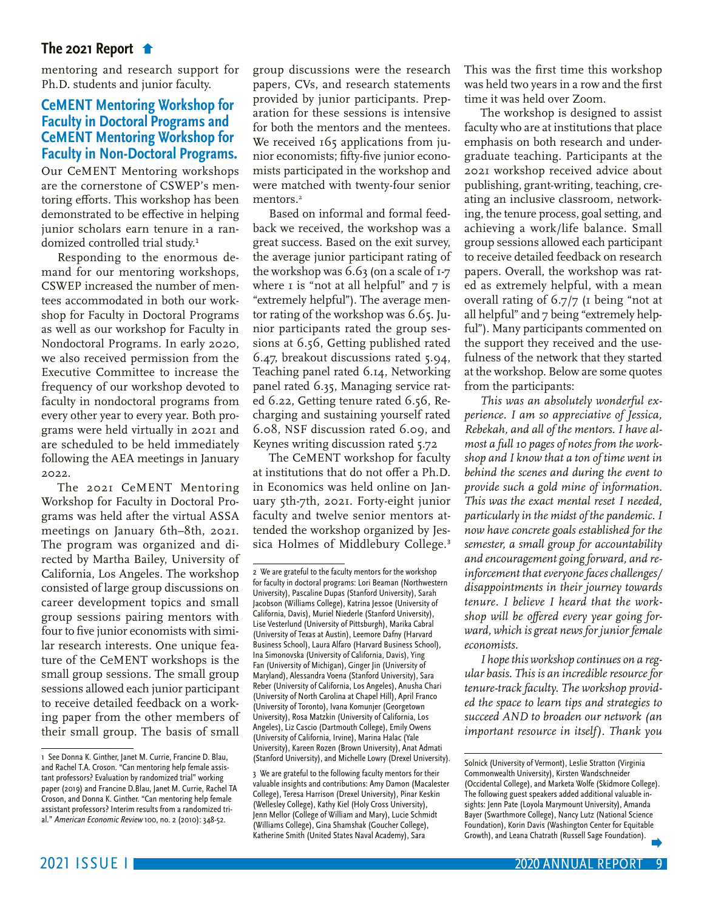<span id="page-8-0"></span>[mentoring and research support for](#page-7-0)  Ph.D. students and junior faculty.

## **CeMENT Mentoring Workshop for Faculty in Doctoral Programs and CeMENT Mentoring Workshop for Faculty in Non-Doctoral Programs.**

Our CeMENT Mentoring workshops are the cornerstone of CSWEP's mentoring efforts. This workshop has been demonstrated to be effective in helping junior scholars earn tenure in a randomized controlled trial study.<sup>1</sup>

Responding to the enormous demand for our mentoring workshops, CSWEP increased the number of mentees accommodated in both our workshop for Faculty in Doctoral Programs as well as our workshop for Faculty in Nondoctoral Programs. In early 2020, we also received permission from the Executive Committee to increase the frequency of our workshop devoted to faculty in nondoctoral programs from every other year to every year. Both programs were held virtually in 2021 and are scheduled to be held immediately following the AEA meetings in January 2022.

The 2021 CeMENT Mentoring Workshop for Faculty in Doctoral Programs was held after the virtual ASSA meetings on January 6th–8th, 2021. The program was organized and directed by Martha Bailey, University of California, Los Angeles. The workshop consisted of large group discussions on career development topics and small group sessions pairing mentors with four to five junior economists with similar research interests. One unique feature of the CeMENT workshops is the small group sessions. The small group sessions allowed each junior participant to receive detailed feedback on a working paper from the other members of their small group. The basis of small

group discussions were the research papers, CVs, and research statements provided by junior participants. Preparation for these sessions is intensive for both the mentors and the mentees. We received 165 applications from junior economists; fifty-five junior economists participated in the workshop and were matched with twenty-four senior mentors.<sup>2</sup>

Based on informal and formal feedback we received, the workshop was a great success. Based on the exit survey, the average junior participant rating of the workshop was 6.63 (on a scale of 1-7 where  $\bar{I}$  is "not at all helpful" and  $\bar{I}$  is "extremely helpful"). The average mentor rating of the workshop was 6.65. Junior participants rated the group sessions at 6.56, Getting published rated 6.47, breakout discussions rated 5.94, Teaching panel rated 6.14, Networking panel rated 6.35, Managing service rated 6.22, Getting tenure rated 6.56, Recharging and sustaining yourself rated 6.08, NSF discussion rated 6.09, and Keynes writing discussion rated 5.72

The CeMENT workshop for faculty at institutions that do not offer a Ph.D. in Economics was held online on January 5th-7th, 2021. Forty-eight junior faculty and twelve senior mentors attended the workshop organized by Jessica Holmes of Middlebury College.<sup>3</sup>

This was the first time this workshop was held two years in a row and the first time it was held over Zoom.

The workshop is designed to assist faculty who are at institutions that place emphasis on both research and undergraduate teaching. Participants at the 2021 workshop received advice about publishing, grant-writing, teaching, creating an inclusive classroom, networking, the tenure process, goal setting, and achieving a work/life balance. Small group sessions allowed each participant to receive detailed feedback on research papers. Overall, the workshop was rated as extremely helpful, with a mean overall rating of 6.7/7 (1 being "not at all helpful" and 7 being "extremely helpful"). Many participants commented on the support they received and the usefulness of the network that they started at the workshop. Below are some quotes from the participants:

*This was an absolutely wonderful experience. I am so appreciative of Jessica, Rebekah, and all of the mentors. I have almost a full 10 pages of notes from the workshop and I know that a ton of time went in behind the scenes and during the event to provide such a gold mine of information. This was the exact mental reset I needed, particularly in the midst of the pandemic. I now have concrete goals established for the semester, a small group for accountability and encouragement going forward, and reinforcement that everyone faces challenges/ disappointments in their journey towards tenure. I believe I heard that the workshop will be offered every year going forward, which is great news for junior female economists.*

*I hope this workshop continues on a regular basis. This is an incredible resource for tenure-track faculty. The workshop provided the space to learn tips and strategies to succeed AND to broaden our network (an important resource in itself). Thank you* 

<sup>1</sup> See Donna K. Ginther, Janet M. Currie, Francine D. Blau, and Rachel T.A. Croson. "Can mentoring help female assistant professors? Evaluation by randomized trial" working paper (2019) and Francine D.Blau, Janet M. Currie, Rachel TA Croson, and Donna K. Ginther. "Can mentoring help female assistant professors? Interim results from a randomized trial." American Economic Review 100, no. 2 (2010): 348-52.

<sup>2</sup> We are grateful to the faculty mentors for the workshop for faculty in doctoral programs: Lori Beaman (Northwestern University), Pascaline Dupas (Stanford University), Sarah Jacobson (Williams College), Katrina Jessoe (University of California, Davis), Muriel Niederle (Stanford University), Lise Vesterlund (University of Pittsburgh), Marika Cabral (University of Texas at Austin), Leemore Dafny (Harvard Business School), Laura Alfaro (Harvard Business School), Ina Simonovska (University of California, Davis), Ying Fan (University of Michigan), Ginger Jin (University of Maryland), Alessandra Voena (Stanford University), Sara Reber (University of California, Los Angeles), Anusha Chari (University of North Carolina at Chapel Hill), April Franco (University of Toronto), Ivana Komunjer (Georgetown University), Rosa Matzkin (University of California, Los Angeles), Liz Cascio (Dartmouth College), Emily Owens (University of California, Irvine), Marina Halac (Yale University), Kareen Rozen (Brown University), Anat Admati (Stanford University), and Michelle Lowry (Drexel University).

<sup>3</sup> We are grateful to the following faculty mentors for their valuable insights and contributions: Amy Damon (Macalester College), Teresa Harrison (Drexel University), Pinar Keskin (Wellesley College), Kathy Kiel (Holy Cross University), Jenn Mellor (College of William and Mary), Lucie Schmidt (Williams College), Gina Shamshak (Goucher College), Katherine Smith (United States Naval Academy), Sara

Solnick (University of Vermont), Leslie Stratton (Virginia Commonwealth University), Kirsten Wandschneider (Occidental College), and Marketa Wolfe (Skidmore College). The following guest speakers added additional valuable insights: Jenn Pate (Loyola Marymount University), Amanda Bayer (Swarthmore College), Nancy Lutz (National Science Foundation), Korin Davis (Washington Center for Equitable Growth), and Leana Chatrath (Russell Sage Foundation).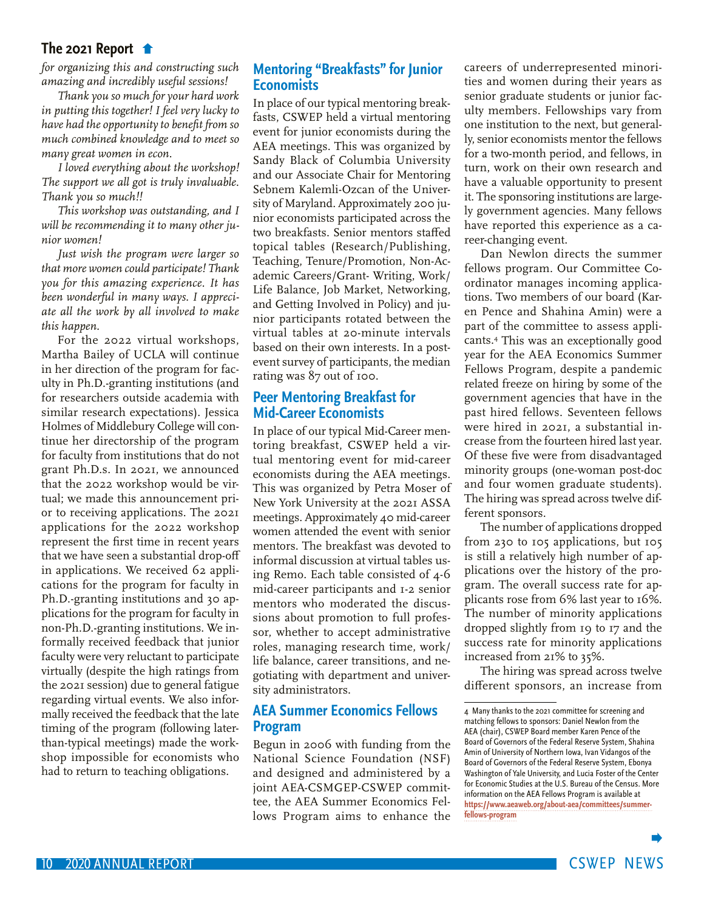<span id="page-9-0"></span>*[for organizing this and constructing such](#page-8-0)  amazing and incredibly useful sessions!*

*Thank you so much for your hard work in putting this together! I feel very lucky to have had the opportunity to benefit from so much combined knowledge and to meet so many great women in econ.*

*I loved everything about the workshop! The support we all got is truly invaluable. Thank you so much!!*

*This workshop was outstanding, and I will be recommending it to many other junior women!*

*Just wish the program were larger so that more women could participate! Thank you for this amazing experience. It has been wonderful in many ways. I appreciate all the work by all involved to make this happen.*

For the 2022 virtual workshops, Martha Bailey of UCLA will continue in her direction of the program for faculty in Ph.D.-granting institutions (and for researchers outside academia with similar research expectations). Jessica Holmes of Middlebury College will continue her directorship of the program for faculty from institutions that do not grant Ph.D.s. In 2021, we announced that the 2022 workshop would be virtual; we made this announcement prior to receiving applications. The 2021 applications for the 2022 workshop represent the first time in recent years that we have seen a substantial drop-off in applications. We received 62 applications for the program for faculty in Ph.D.-granting institutions and 30 applications for the program for faculty in non-Ph.D.-granting institutions. We informally received feedback that junior faculty were very reluctant to participate virtually (despite the high ratings from the 2021 session) due to general fatigue regarding virtual events. We also informally received the feedback that the late timing of the program (following laterthan-typical meetings) made the workshop impossible for economists who had to return to teaching obligations.

## **Mentoring "Breakfasts" for Junior Economists**

In place of our typical mentoring breakfasts, CSWEP held a virtual mentoring event for junior economists during the AEA meetings. This was organized by Sandy Black of Columbia University and our Associate Chair for Mentoring Sebnem Kalemli-Ozcan of the University of Maryland. Approximately 200 junior economists participated across the two breakfasts. Senior mentors staffed topical tables (Research/Publishing, Teaching, Tenure/Promotion, Non-Academic Careers/Grant- Writing, Work/ Life Balance, Job Market, Networking, and Getting Involved in Policy) and junior participants rotated between the virtual tables at 20-minute intervals based on their own interests. In a postevent survey of participants, the median rating was 87 out of 100.

## **Peer Mentoring Breakfast for Mid-Career Economists**

In place of our typical Mid-Career mentoring breakfast, CSWEP held a virtual mentoring event for mid-career economists during the AEA meetings. This was organized by Petra Moser of New York University at the 2021 ASSA meetings. Approximately 40 mid-career women attended the event with senior mentors. The breakfast was devoted to informal discussion at virtual tables using Remo. Each table consisted of 4-6 mid-career participants and 1-2 senior mentors who moderated the discussions about promotion to full professor, whether to accept administrative roles, managing research time, work/ life balance, career transitions, and negotiating with department and university administrators.

## **AEA Summer Economics Fellows Program**

Begun in 2006 with funding from the National Science Foundation (NSF) and designed and administered by a joint AEA-CSMGEP-CSWEP committee, the AEA Summer Economics Fellows Program aims to enhance the careers of underrepresented minorities and women during their years as senior graduate students or junior faculty members. Fellowships vary from one institution to the next, but generally, senior economists mentor the fellows for a two-month period, and fellows, in turn, work on their own research and have a valuable opportunity to present it. The sponsoring institutions are largely government agencies. Many fellows have reported this experience as a career-changing event.

Dan Newlon directs the summer fellows program. Our Committee Coordinator manages incoming applications. Two members of our board (Karen Pence and Shahina Amin) were a part of the committee to assess applicants.4 This was an exceptionally good year for the AEA Economics Summer Fellows Program, despite a pandemic related freeze on hiring by some of the government agencies that have in the past hired fellows. Seventeen fellows were hired in 2021, a substantial increase from the fourteen hired last year. Of these five were from disadvantaged minority groups (one-woman post-doc and four women graduate students). The hiring was spread across twelve different sponsors.

The number of applications dropped from 230 to 105 applications, but 105 is still a relatively high number of applications over the history of the program. The overall success rate for applicants rose from 6% last year to 16%. The number of minority applications dropped slightly from 19 to 17 and the success rate for minority applications increased from 21% to 35%.

The hiring was spread across twelve different sponsors, an increase from

<sup>4</sup> Many thanks to the 2021 committee for screening and matching fellows to sponsors: Daniel Newlon from the AEA (chair), CSWEP Board member Karen Pence of the Board of Governors of the Federal Reserve System, Shahina Amin of University of Northern Iowa, Ivan Vidangos of the Board of Governors of the Federal Reserve System, Ebonya Washington of Yale University, and Lucia Foster of the Center for Economic Studies at the U.S. Bureau of the Census. More information on the AEA Fellows Program is available at **[https://www.aeaweb.org/about-aea/committees/summer](https://www.aeaweb.org/about-aea/committees/summer-fellows-program)[fellows-program](https://www.aeaweb.org/about-aea/committees/summer-fellows-program)**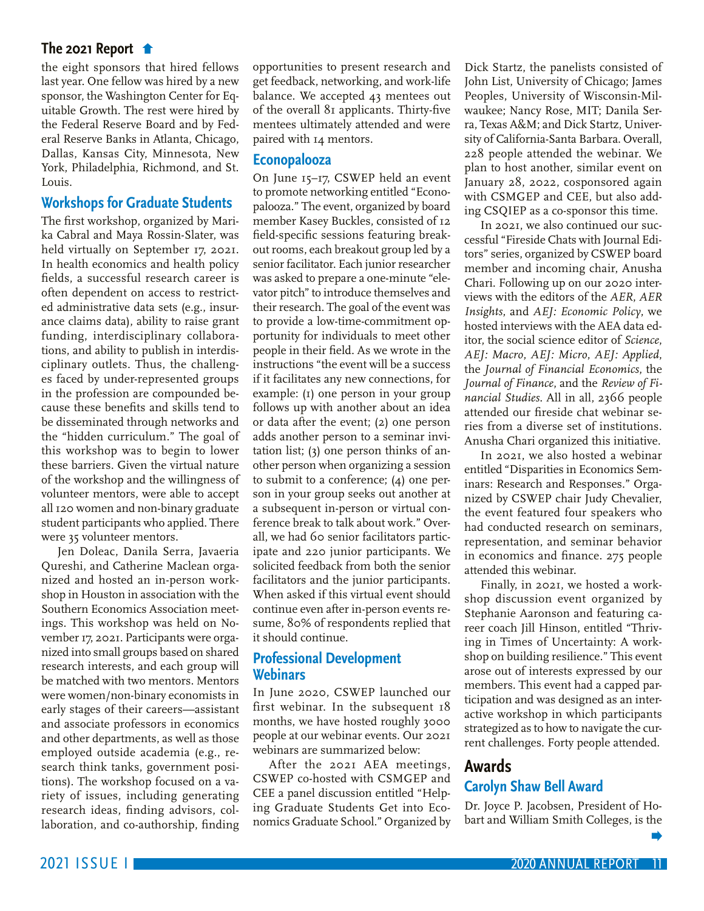<span id="page-10-0"></span>[the eight sponsors that hired fellows](#page-9-0)  last year. One fellow was hired by a new sponsor, the Washington Center for Equitable Growth. The rest were hired by the Federal Reserve Board and by Federal Reserve Banks in Atlanta, Chicago, Dallas, Kansas City, Minnesota, New York, Philadelphia, Richmond, and St. Louis.

## **Workshops for Graduate Students**

The first workshop, organized by Marika Cabral and Maya Rossin-Slater, was held virtually on September 17, 2021. In health economics and health policy fields, a successful research career is often dependent on access to restricted administrative data sets (e.g., insurance claims data), ability to raise grant funding, interdisciplinary collaborations, and ability to publish in interdisciplinary outlets. Thus, the challenges faced by under-represented groups in the profession are compounded because these benefits and skills tend to be disseminated through networks and the "hidden curriculum." The goal of this workshop was to begin to lower these barriers. Given the virtual nature of the workshop and the willingness of volunteer mentors, were able to accept all 120 women and non-binary graduate student participants who applied. There were 35 volunteer mentors.

Jen Doleac, Danila Serra, Javaeria Qureshi, and Catherine Maclean organized and hosted an in-person workshop in Houston in association with the Southern Economics Association meetings. This workshop was held on November 17, 2021. Participants were organized into small groups based on shared research interests, and each group will be matched with two mentors. Mentors were women/non-binary economists in early stages of their careers—assistant and associate professors in economics and other departments, as well as those employed outside academia (e.g., research think tanks, government positions). The workshop focused on a variety of issues, including generating research ideas, finding advisors, collaboration, and co-authorship, finding

opportunities to present research and get feedback, networking, and work-life balance. We accepted 43 mentees out of the overall 81 applicants. Thirty-five mentees ultimately attended and were paired with 14 mentors.

### **Econopalooza**

On June 15–17, CSWEP held an event to promote networking entitled "Econopalooza." The event, organized by board member Kasey Buckles, consisted of 12 field-specific sessions featuring breakout rooms, each breakout group led by a senior facilitator. Each junior researcher was asked to prepare a one-minute "elevator pitch" to introduce themselves and their research. The goal of the event was to provide a low-time-commitment opportunity for individuals to meet other people in their field. As we wrote in the instructions "the event will be a success if it facilitates any new connections, for example: (1) one person in your group follows up with another about an idea or data after the event; (2) one person adds another person to a seminar invitation list; (3) one person thinks of another person when organizing a session to submit to a conference; (4) one person in your group seeks out another at a subsequent in-person or virtual conference break to talk about work." Overall, we had 60 senior facilitators participate and 220 junior participants. We solicited feedback from both the senior facilitators and the junior participants. When asked if this virtual event should continue even after in-person events resume, 80% of respondents replied that it should continue.

## **Professional Development Webinars**

In June 2020, CSWEP launched our first webinar. In the subsequent 18 months, we have hosted roughly 3000 people at our webinar events. Our 2021 webinars are summarized below:

After the 2021 AEA meetings, CSWEP co-hosted with CSMGEP and CEE a panel discussion entitled "Helping Graduate Students Get into Economics Graduate School." Organized by

Dick Startz, the panelists consisted of John List, University of Chicago; James Peoples, University of Wisconsin-Milwaukee; Nancy Rose, MIT; Danila Serra, Texas A&M; and Dick Startz, University of California-Santa Barbara. Overall, 228 people attended the webinar. We plan to host another, similar event on January 28, 2022, cosponsored again with CSMGEP and CEE, but also adding CSQIEP as a co-sponsor this time.

In 2021, we also continued our successful "Fireside Chats with Journal Editors" series, organized by CSWEP board member and incoming chair, Anusha Chari. Following up on our 2020 interviews with the editors of the *AER*, *AER Insights*, and *AEJ: Economic Policy*, we hosted interviews with the AEA data editor, the social science editor of *Science*, *AEJ: Macro*, *AEJ: Micro*, *AEJ: Applied*, the *Journal of Financial Economics*, the *Journal of Finance*, and the *Review of Financial Studies*. All in all, 2366 people attended our fireside chat webinar series from a diverse set of institutions. Anusha Chari organized this initiative.

In 2021, we also hosted a webinar entitled "Disparities in Economics Seminars: Research and Responses." Organized by CSWEP chair Judy Chevalier, the event featured four speakers who had conducted research on seminars, representation, and seminar behavior in economics and finance. 275 people attended this webinar.

Finally, in 2021, we hosted a workshop discussion event organized by Stephanie Aaronson and featuring career coach Jill Hinson, entitled "Thriving in Times of Uncertainty: A workshop on building resilience." This event arose out of interests expressed by our members. This event had a capped participation and was designed as an interactive workshop in which participants strategized as to how to navigate the current challenges. Forty people attended.

## **Awards Carolyn Shaw Bell Award**

Dr. Joyce P. Jacobsen, President of Hobart and William Smith Colleges, is the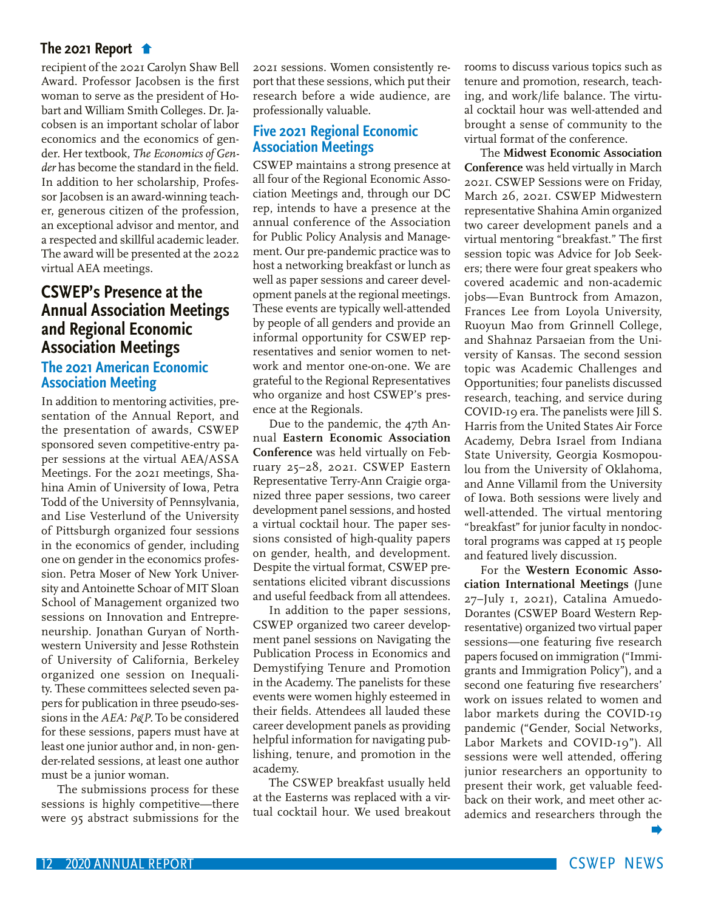<span id="page-11-0"></span>[recipient of the 2021 Carolyn Shaw Bell](#page-10-0)  Award. Professor Jacobsen is the first woman to serve as the president of Hobart and William Smith Colleges. Dr. Jacobsen is an important scholar of labor economics and the economics of gender. Her textbook, *The Economics of Gender* has become the standard in the field. In addition to her scholarship, Professor Jacobsen is an award-winning teacher, generous citizen of the profession, an exceptional advisor and mentor, and a respected and skillful academic leader. The award will be presented at the 2022 virtual AEA meetings.

## **CSWEP's Presence at the Annual Association Meetings and Regional Economic Association Meetings**

## **The 2021 American Economic Association Meeting**

In addition to mentoring activities, presentation of the Annual Report, and the presentation of awards, CSWEP sponsored seven competitive-entry paper sessions at the virtual AEA/ASSA Meetings. For the 2021 meetings, Shahina Amin of University of Iowa, Petra Todd of the University of Pennsylvania, and Lise Vesterlund of the University of Pittsburgh organized four sessions in the economics of gender, including one on gender in the economics profession. Petra Moser of New York University and Antoinette Schoar of MIT Sloan School of Management organized two sessions on Innovation and Entrepreneurship. Jonathan Guryan of Northwestern University and Jesse Rothstein of University of California, Berkeley organized one session on Inequality. These committees selected seven papers for publication in three pseudo-sessions in the *AEA: P&P.* To be considered for these sessions, papers must have at least one junior author and, in non- gender-related sessions, at least one author must be a junior woman.

The submissions process for these sessions is highly competitive—there were 95 abstract submissions for the

2021 sessions. Women consistently report that these sessions, which put their research before a wide audience, are professionally valuable.

## **Five 2021 Regional Economic Association Meetings**

CSWEP maintains a strong presence at all four of the Regional Economic Association Meetings and, through our DC rep, intends to have a presence at the annual conference of the Association for Public Policy Analysis and Management. Our pre-pandemic practice was to host a networking breakfast or lunch as well as paper sessions and career development panels at the regional meetings. These events are typically well-attended by people of all genders and provide an informal opportunity for CSWEP representatives and senior women to network and mentor one-on-one. We are grateful to the Regional Representatives who organize and host CSWEP's presence at the Regionals.

Due to the pandemic, the 47th Annual **Eastern Economic Association Conference** was held virtually on February 25–28, 2021. CSWEP Eastern Representative Terry-Ann Craigie organized three paper sessions, two career development panel sessions, and hosted a virtual cocktail hour. The paper sessions consisted of high-quality papers on gender, health, and development. Despite the virtual format, CSWEP presentations elicited vibrant discussions and useful feedback from all attendees.

In addition to the paper sessions, CSWEP organized two career development panel sessions on Navigating the Publication Process in Economics and Demystifying Tenure and Promotion in the Academy. The panelists for these events were women highly esteemed in their fields. Attendees all lauded these career development panels as providing helpful information for navigating publishing, tenure, and promotion in the academy.

The CSWEP breakfast usually held at the Easterns was replaced with a virtual cocktail hour. We used breakout rooms to discuss various topics such as tenure and promotion, research, teaching, and work/life balance. The virtual cocktail hour was well-attended and brought a sense of community to the virtual format of the conference.

The **Midwest Economic Association Conference** was held virtually in March 2021. CSWEP Sessions were on Friday, March 26, 2021. CSWEP Midwestern representative Shahina Amin organized two career development panels and a virtual mentoring "breakfast." The first session topic was Advice for Job Seekers; there were four great speakers who covered academic and non-academic jobs—Evan Buntrock from Amazon, Frances Lee from Loyola University, Ruoyun Mao from Grinnell College, and Shahnaz Parsaeian from the University of Kansas. The second session topic was Academic Challenges and Opportunities; four panelists discussed research, teaching, and service during COVID-19 era. The panelists were Jill S. Harris from the United States Air Force Academy, Debra Israel from Indiana State University, Georgia Kosmopoulou from the University of Oklahoma, and Anne Villamil from the University of Iowa. Both sessions were lively and well-attended. The virtual mentoring "breakfast" for junior faculty in nondoctoral programs was capped at 15 people and featured lively discussion.

For the **Western Economic Association International Meetings** (June 27–July 1, 2021), Catalina Amuedo-Dorantes (CSWEP Board Western Representative) organized two virtual paper sessions—one featuring five research papers focused on immigration ("Immigrants and Immigration Policy"), and a second one featuring five researchers' work on issues related to women and labor markets during the COVID-19 pandemic ("Gender, Social Networks, Labor Markets and COVID-19"). All sessions were well attended, offering junior researchers an opportunity to present their work, get valuable feedback on their work, and meet other academics and researchers through the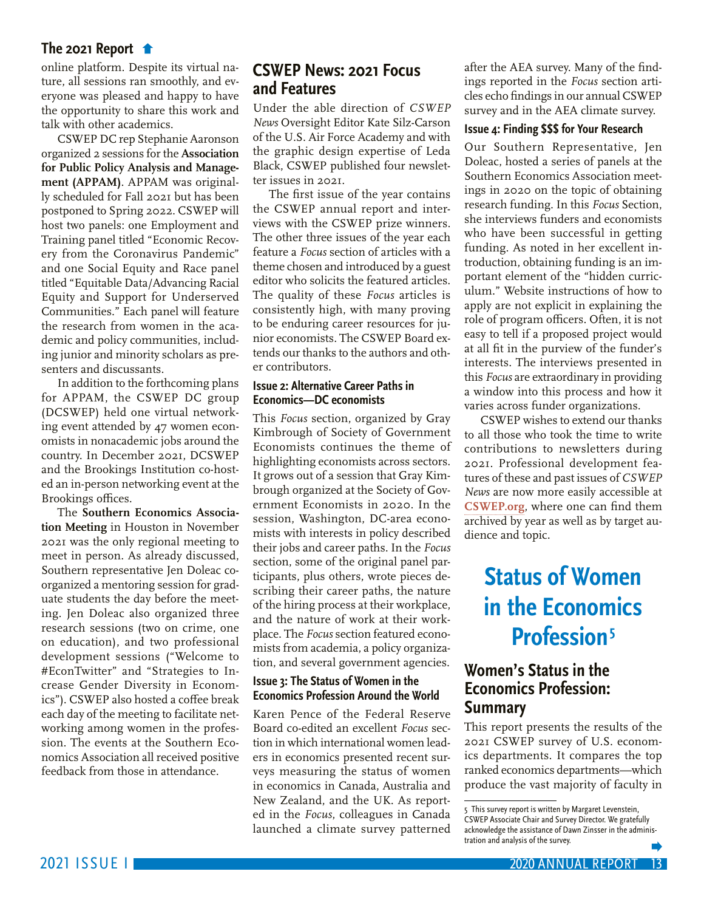<span id="page-12-0"></span>[online platform. Despite its virtual na](#page-11-0)ture, all sessions ran smoothly, and everyone was pleased and happy to have the opportunity to share this work and talk with other academics.

CSWEP DC rep Stephanie Aaronson organized 2 sessions for the **Association for Public Policy Analysis and Management (APPAM)**. APPAM was originally scheduled for Fall 2021 but has been postponed to Spring 2022. CSWEP will host two panels: one Employment and Training panel titled "Economic Recovery from the Coronavirus Pandemic" and one Social Equity and Race panel titled "Equitable Data/Advancing Racial Equity and Support for Underserved Communities." Each panel will feature the research from women in the academic and policy communities, including junior and minority scholars as presenters and discussants.

In addition to the forthcoming plans for APPAM, the CSWEP DC group (DCSWEP) held one virtual networking event attended by 47 women economists in nonacademic jobs around the country. In December 2021, DCSWEP and the Brookings Institution co-hosted an in-person networking event at the Brookings offices.

The **Southern Economics Association Meeting** in Houston in November 2021 was the only regional meeting to meet in person. As already discussed, Southern representative Jen Doleac coorganized a mentoring session for graduate students the day before the meeting. Jen Doleac also organized three research sessions (two on crime, one on education), and two professional development sessions ("Welcome to #EconTwitter" and "Strategies to Increase Gender Diversity in Economics"). CSWEP also hosted a coffee break each day of the meeting to facilitate networking among women in the profession. The events at the Southern Economics Association all received positive feedback from those in attendance.

## **CSWEP News: 2021 Focus and Features**

Under the able direction of *CSWEP News* Oversight Editor Kate Silz-Carson of the U.S. Air Force Academy and with the graphic design expertise of Leda Black, CSWEP published four newsletter issues in 2021.

The first issue of the year contains the CSWEP annual report and interviews with the CSWEP prize winners. The other three issues of the year each feature a *Focus* section of articles with a theme chosen and introduced by a guest editor who solicits the featured articles. The quality of these *Focus* articles is consistently high, with many proving to be enduring career resources for junior economists. The CSWEP Board extends our thanks to the authors and other contributors.

### **Issue 2: Alternative Career Paths in Economics—DC economists**

This *Focus* section, organized by Gray Kimbrough of Society of Government Economists continues the theme of highlighting economists across sectors. It grows out of a session that Gray Kimbrough organized at the Society of Government Economists in 2020. In the session, Washington, DC-area economists with interests in policy described their jobs and career paths. In the *Focus* section, some of the original panel participants, plus others, wrote pieces describing their career paths, the nature of the hiring process at their workplace, and the nature of work at their workplace. The *Focus* section featured economists from academia, a policy organization, and several government agencies.

### **Issue 3: The Status of Women in the Economics Profession Around the World**

Karen Pence of the Federal Reserve Board co-edited an excellent *Focus* section in which international women leaders in economics presented recent surveys measuring the status of women in economics in Canada, Australia and New Zealand, and the UK. As reported in the *Focus*, colleagues in Canada launched a climate survey patterned

after the AEA survey. Many of the findings reported in the *Focus* section articles echo findings in our annual CSWEP survey and in the AEA climate survey.

#### **Issue 4: Finding \$\$\$ for Your Research**

Our Southern Representative, Jen Doleac, hosted a series of panels at the Southern Economics Association meetings in 2020 on the topic of obtaining research funding. In this *Focus* Section, she interviews funders and economists who have been successful in getting funding. As noted in her excellent introduction, obtaining funding is an important element of the "hidden curriculum." Website instructions of how to apply are not explicit in explaining the role of program officers. Often, it is not easy to tell if a proposed project would at all fit in the purview of the funder's interests. The interviews presented in this *Focus* are extraordinary in providing a window into this process and how it varies across funder organizations.

CSWEP wishes to extend our thanks to all those who took the time to write contributions to newsletters during 2021. Professional development features of these and past issues of *CSWEP News* are now more easily accessible at **[CSWEP.org](http://CSWEP.org)**, where one can find them archived by year as well as by target audience and topic.

## **Status of Women in the Economics Profession5**

## **Women's Status in the Economics Profession: Summary**

This report presents the results of the 2021 CSWEP survey of U.S. economics departments. It compares the top ranked economics departments—which produce the vast majority of faculty in

<sup>5</sup> This survey report is written by Margaret Levenstein, CSWEP Associate Chair and Survey Director. We gratefully acknowledge the assistance of Dawn Zinsser in the administration and analysis of the survey.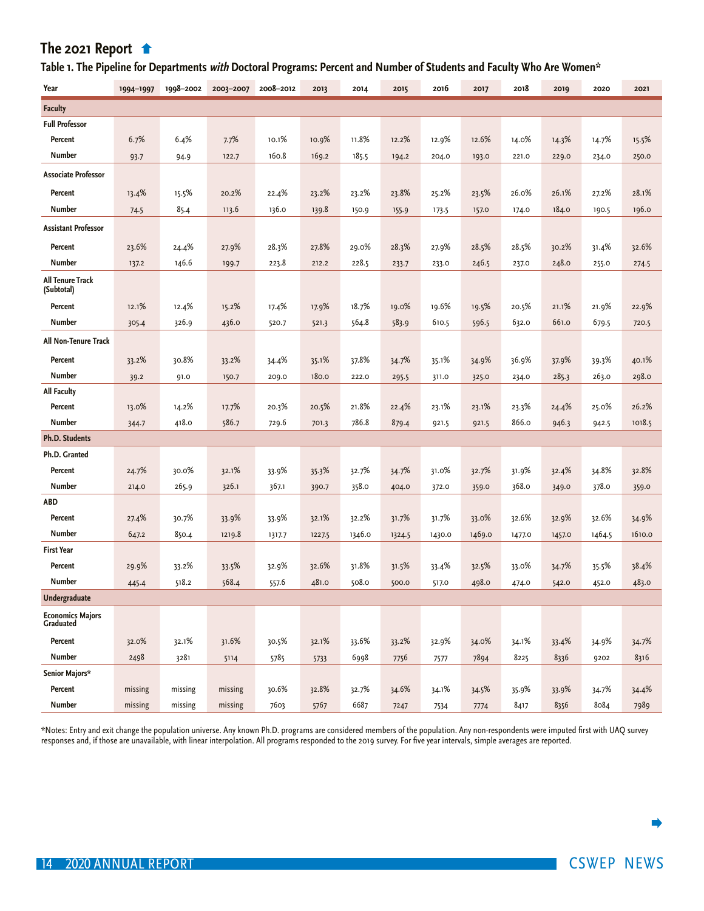## <span id="page-13-0"></span> **[Table 1. The Pipeline for Departments](#page-12-0) with Doctoral Programs: Percent and Number of Students and Faculty Who Are Women\***

| Year                                  | 1994-1997 | 1998-2002 | 2003-2007 | 2008-2012 | 2013   | 2014   | 2015   | 2016   | 2017   | 2018   | 2019   | 2020   | 2021   |
|---------------------------------------|-----------|-----------|-----------|-----------|--------|--------|--------|--------|--------|--------|--------|--------|--------|
| <b>Faculty</b>                        |           |           |           |           |        |        |        |        |        |        |        |        |        |
| <b>Full Professor</b>                 |           |           |           |           |        |        |        |        |        |        |        |        |        |
| Percent                               | 6.7%      | 6.4%      | 7.7%      | 10.1%     | 10.9%  | 11.8%  | 12.2%  | 12.9%  | 12.6%  | 14.0%  | 14.3%  | 14.7%  | 15.5%  |
| Number                                | 93.7      | 94.9      | 122.7     | 160.8     | 169.2  | 185.5  | 194.2  | 204.0  | 193.0  | 221.0  | 229.0  | 234.0  | 250.0  |
| <b>Associate Professor</b>            |           |           |           |           |        |        |        |        |        |        |        |        |        |
| Percent                               | 13.4%     | 15.5%     | 20.2%     | 22.4%     | 23.2%  | 23.2%  | 23.8%  | 25.2%  | 23.5%  | 26.0%  | 26.1%  | 27.2%  | 28.1%  |
| <b>Number</b>                         | 74.5      | 85.4      | 113.6     | 136.0     | 139.8  | 150.9  | 155.9  | 173.5  | 157.0  | 174.0  | 184.0  | 190.5  | 196.0  |
| <b>Assistant Professor</b>            |           |           |           |           |        |        |        |        |        |        |        |        |        |
| Percent                               | 23.6%     | 24.4%     | 27.9%     | 28.3%     | 27.8%  | 29.0%  | 28.3%  | 27.9%  | 28.5%  | 28.5%  | 30.2%  | 31.4%  | 32.6%  |
| <b>Number</b>                         | 137.2     | 146.6     | 199.7     | 223.8     | 212.2  | 228.5  | 233.7  | 233.0  | 246.5  | 237.0  | 248.0  | 255.0  | 274.5  |
| <b>All Tenure Track</b><br>(Subtotal) |           |           |           |           |        |        |        |        |        |        |        |        |        |
| Percent                               | 12.1%     | 12.4%     | 15.2%     | 17.4%     | 17.9%  | 18.7%  | 19.0%  | 19.6%  | 19.5%  | 20.5%  | 21.1%  | 21.9%  | 22.9%  |
| Number                                | 305.4     | 326.9     | 436.0     | 520.7     | 521.3  | 564.8  | 583.9  | 610.5  | 596.5  | 632.0  | 661.0  | 679.5  | 720.5  |
| <b>All Non-Tenure Track</b>           |           |           |           |           |        |        |        |        |        |        |        |        |        |
| Percent                               | 33.2%     | 30.8%     | 33.2%     | 34.4%     | 35.1%  | 37.8%  | 34.7%  | 35.1%  | 34.9%  | 36.9%  | 37.9%  | 39.3%  | 40.1%  |
| <b>Number</b>                         | 39.2      | 91.0      | 150.7     | 209.0     | 180.0  | 222.0  | 295.5  | 311.0  | 325.0  | 234.0  | 285.3  | 263.0  | 298.0  |
| <b>All Faculty</b>                    |           |           |           |           |        |        |        |        |        |        |        |        |        |
| Percent                               | 13.0%     | 14.2%     | 17.7%     | 20.3%     | 20.5%  | 21.8%  | 22.4%  | 23.1%  | 23.1%  | 23.3%  | 24.4%  | 25.0%  | 26.2%  |
| Number                                | 344.7     | 418.0     | 586.7     | 729.6     | 701.3  | 786.8  | 879.4  | 921.5  | 921.5  | 866.0  | 946.3  | 942.5  | 1018.5 |
| <b>Ph.D. Students</b>                 |           |           |           |           |        |        |        |        |        |        |        |        |        |
| Ph.D. Granted                         |           |           |           |           |        |        |        |        |        |        |        |        |        |
| Percent                               | 24.7%     | 30.0%     | 32.1%     | 33.9%     | 35.3%  | 32.7%  | 34.7%  | 31.0%  | 32.7%  | 31.9%  | 32.4%  | 34.8%  | 32.8%  |
| <b>Number</b>                         | 214.0     | 265.9     | 326.1     | 367.1     | 390.7  | 358.0  | 404.0  | 372.0  | 359.0  | 368.0  | 349.0  | 378.0  | 359.0  |
| <b>ABD</b>                            |           |           |           |           |        |        |        |        |        |        |        |        |        |
| Percent                               | 27.4%     | 30.7%     | 33.9%     | 33.9%     | 32.1%  | 32.2%  | 31.7%  | 31.7%  | 33.0%  | 32.6%  | 32.9%  | 32.6%  | 34.9%  |
| <b>Number</b>                         | 647.2     | 850.4     | 1219.8    | 1317.7    | 1227.5 | 1346.0 | 1324.5 | 1430.0 | 1469.0 | 1477.0 | 1457.0 | 1464.5 | 1610.0 |
| <b>First Year</b>                     |           |           |           |           |        |        |        |        |        |        |        |        |        |
| Percent                               | 29.9%     | 33.2%     | 33.5%     | 32.9%     | 32.6%  | 31.8%  | 31.5%  | 33.4%  | 32.5%  | 33.0%  | 34.7%  | 35.5%  | 38.4%  |
| <b>Number</b>                         | 445.4     | 518.2     | 568.4     | 557.6     | 481.0  | 508.0  | 500.0  | 517.0  | 498.0  | 474.0  | 542.0  | 452.0  | 483.0  |
| <b>Undergraduate</b>                  |           |           |           |           |        |        |        |        |        |        |        |        |        |
| <b>Economics Majors</b><br>Graduated  |           |           |           |           |        |        |        |        |        |        |        |        |        |
| Percent                               | 32.0%     | 32.1%     | 31.6%     | 30.5%     | 32.1%  | 33.6%  | 33.2%  | 32.9%  | 34.0%  | 34.1%  | 33.4%  | 34.9%  | 34.7%  |
| Number                                | 2498      | 3281      | 5114      | 5785      | 5733   | 6998   | 7756   | 7577   | 7894   | 8225   | 8336   | 9202   | 8316   |
| Senior Majors*                        |           |           |           |           |        |        |        |        |        |        |        |        |        |
| Percent                               | missing   | missing   | missing   | 30.6%     | 32.8%  | 32.7%  | 34.6%  | 34.1%  | 34.5%  | 35.9%  | 33.9%  | 34.7%  | 34.4%  |
| Number                                | missing   | missing   | missing   | 7603      | 5767   | 6687   | 7247   | 7534   | 7774   | 8417   | 8356   | 8084   | 7989   |

\*Notes: Entry and exit change the population universe. Any known Ph.D. programs are considered members of the population. Any non-respondents were imputed first with UAQ survey responses and, if those are unavailable, with linear interpolation. All programs responded to the 2019 survey. For five year intervals, simple averages are reported.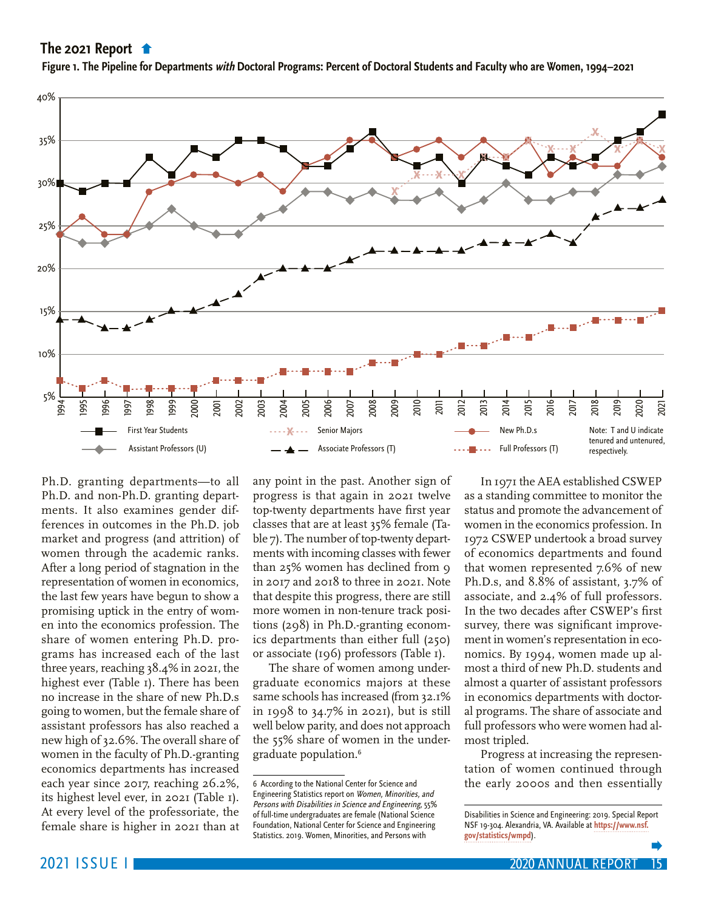<span id="page-14-0"></span>**[Figure 1. The Pipeline for Departments](#page-13-0) with Doctoral Programs: Percent of Doctoral Students and Faculty who are Women, 1994–2021**



Ph.D. granting departments—to all Ph.D. and non-Ph.D. granting departments. It also examines gender differences in outcomes in the Ph.D. job market and progress (and attrition) of women through the academic ranks. After a long period of stagnation in the representation of women in economics, the last few years have begun to show a promising uptick in the entry of women into the economics profession. The share of women entering Ph.D. programs has increased each of the last three years, reaching 38.4% in 2021, the highest ever (Table 1). There has been no increase in the share of new Ph.D.s going to women, but the female share of assistant professors has also reached a new high of 32.6%. The overall share of women in the faculty of Ph.D.-granting economics departments has increased each year since 2017, reaching 26.2%, its highest level ever, in 2021 (Table 1). At every level of the professoriate, the female share is higher in 2021 than at

any point in the past. Another sign of progress is that again in 2021 twelve top-twenty departments have first year classes that are at least 35% female (Table 7). The number of top-twenty departments with incoming classes with fewer than 25% women has declined from 9 in 2017 and 2018 to three in 2021. Note that despite this progress, there are still more women in non-tenure track positions (298) in Ph.D.-granting economics departments than either full (250) or associate (196) professors (Table 1).

The share of women among undergraduate economics majors at these same schools has increased (from 32.1% in 1998 to 34.7% in 2021), but is still well below parity, and does not approach the 55% share of women in the undergraduate population.<sup>6</sup>

In 1971 the AEA established CSWEP as a standing committee to monitor the status and promote the advancement of women in the economics profession. In 1972 CSWEP undertook a broad survey of economics departments and found that women represented 7.6% of new Ph.D.s, and 8.8% of assistant, 3.7% of associate, and 2.4% of full professors. In the two decades after CSWEP's first survey, there was significant improvement in women's representation in economics. By 1994, women made up almost a third of new Ph.D. students and almost a quarter of assistant professors in economics departments with doctoral programs. The share of associate and full professors who were women had almost tripled.

Progress at increasing the representation of women continued through the early 2000s and then essentially

<sup>6</sup> According to the National Center for Science and Engineering Statistics report on Women, Minorities, and Persons with Disabilities in Science and Engineering, 55% of full-time undergraduates are female (National Science Foundation, National Center for Science and Engineering Statistics. 2019. Women, Minorities, and Persons with

Disabilities in Science and Engineering: 2019. Special Report NSF 19-304. Alexandria, VA. Available at **[https://www.nsf.](https://www.nsf.gov/statistics/wmpd) [gov/statistics/wmpd](https://www.nsf.gov/statistics/wmpd)**).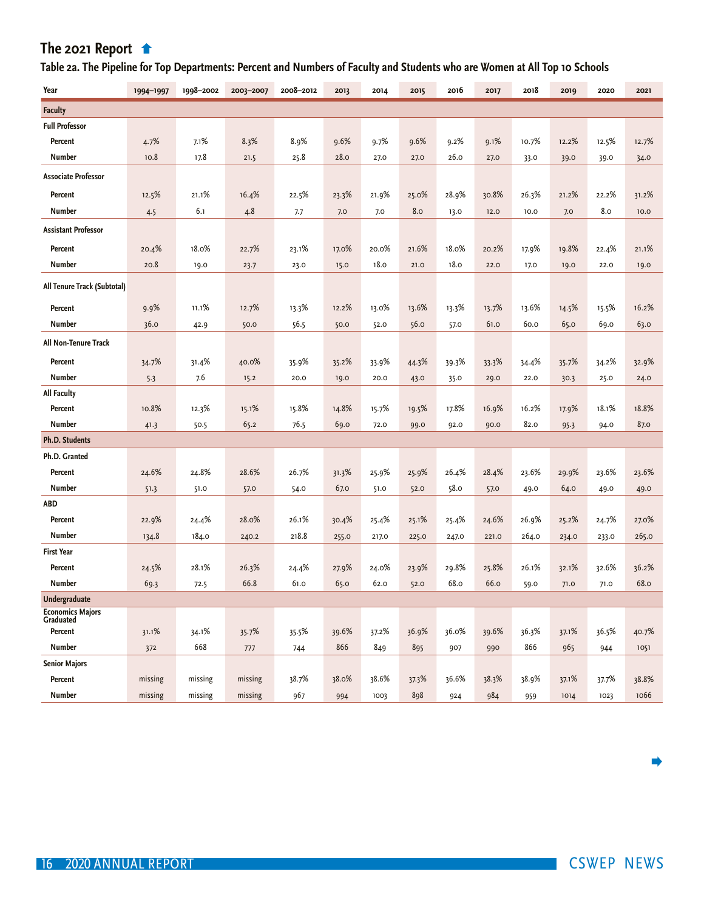## <span id="page-15-0"></span> **[Table 2a. The Pipeline for Top Departments: P](#page-14-0)ercent and Numbers of Faculty and Students who are Women at All Top 10 Schools**

| Year                                            | 1994-1997 | 1998-2002    | 2003-2007 | 2008-2012 | 2013         | 2014         | 2015  | 2016  | 2017  | 2018         | 2019  | 2020  | 2021  |
|-------------------------------------------------|-----------|--------------|-----------|-----------|--------------|--------------|-------|-------|-------|--------------|-------|-------|-------|
| <b>Faculty</b>                                  |           |              |           |           |              |              |       |       |       |              |       |       |       |
| <b>Full Professor</b>                           |           |              |           |           |              |              |       |       |       |              |       |       |       |
| Percent                                         | 4.7%      | 7.1%         | 8.3%      | 8.9%      | 9.6%         | 9.7%         | 9.6%  | 9.2%  | 9.1%  | 10.7%        | 12.2% | 12.5% | 12.7% |
| <b>Number</b>                                   | 10.8      | 17.8         | 21.5      | 25.8      | 28.0         | 27.0         | 27.0  | 26.0  | 27.0  | 33.0         | 39.0  | 39.0  | 34.0  |
| <b>Associate Professor</b>                      |           |              |           |           |              |              |       |       |       |              |       |       |       |
| Percent                                         | 12.5%     | 21.1%        | 16.4%     | 22.5%     | 23.3%        | 21.9%        | 25.0% | 28.9% | 30.8% | 26.3%        | 21.2% | 22.2% | 31.2% |
| <b>Number</b>                                   | 4.5       | 6.1          | 4.8       | 7.7       | 7.0          | 7.0          | 8.0   | 13.0  | 12.0  | 10.0         | 7.0   | 8.0   | 10.0  |
| <b>Assistant Professor</b>                      |           |              |           |           |              |              |       |       |       |              |       |       |       |
| Percent                                         | 20.4%     | 18.0%        | 22.7%     | 23.1%     | 17.0%        | 20.0%        | 21.6% | 18.0% | 20.2% | 17.9%        | 19.8% | 22.4% | 21.1% |
| <b>Number</b>                                   | 20.8      | 19.0         | 23.7      | 23.0      | 15.0         | 18.0         | 21.0  | 18.0  | 22.0  | 17.0         | 19.0  | 22.0  | 19.0  |
| All Tenure Track (Subtotal)                     |           |              |           |           |              |              |       |       |       |              |       |       |       |
| Percent                                         | 9.9%      | 11.1%        | 12.7%     | 13.3%     | 12.2%        | 13.0%        | 13.6% | 13.3% | 13.7% | 13.6%        | 14.5% | 15.5% | 16.2% |
| <b>Number</b>                                   | 36.0      | 42.9         | 50.0      | 56.5      | 50.0         | 52.0         | 56.0  | 57.0  | 61.0  | 60.0         | 65.0  | 69.0  | 63.0  |
| All Non-Tenure Track                            |           |              |           |           |              |              |       |       |       |              |       |       |       |
| Percent                                         | 34.7%     | 31.4%        | 40.0%     | 35.9%     | 35.2%        | 33.9%        | 44.3% | 39.3% | 33.3% | 34.4%        | 35.7% | 34.2% | 32.9% |
| <b>Number</b>                                   | 5.3       | 7.6          | 15.2      | 20.0      | 19.0         | 20.0         | 43.0  | 35.0  | 29.0  | 22.0         | 30.3  | 25.0  | 24.0  |
| <b>All Faculty</b>                              |           |              |           |           |              |              |       |       |       |              |       |       |       |
| Percent                                         | 10.8%     | 12.3%        | 15.1%     | 15.8%     | 14.8%        | 15.7%        | 19.5% | 17.8% | 16.9% | 16.2%        | 17.9% | 18.1% | 18.8% |
| <b>Number</b>                                   | 41.3      | 50.5         | 65.2      | 76.5      | 69.0         | 72.0         | 99.0  | 92.0  | 90.0  | 82.0         | 95.3  | 94.0  | 87.0  |
| <b>Ph.D. Students</b>                           |           |              |           |           |              |              |       |       |       |              |       |       |       |
| Ph.D. Granted                                   |           |              |           |           |              |              |       |       |       |              |       |       |       |
| Percent                                         | 24.6%     | 24.8%        | 28.6%     | 26.7%     | 31.3%        | 25.9%        | 25.9% | 26.4% | 28.4% | 23.6%        | 29.9% | 23.6% | 23.6% |
| <b>Number</b>                                   | 51.3      | 51.0         | 57.0      | 54.0      | 67.0         | 51.0         | 52.0  | 58.0  | 57.0  | 49.0         | 64.0  | 49.0  | 49.0  |
| <b>ABD</b>                                      |           |              |           |           |              |              |       |       |       |              |       |       |       |
| Percent                                         | 22.9%     | 24.4%        | 28.0%     | 26.1%     | 30.4%        | 25.4%        | 25.1% | 25.4% | 24.6% | 26.9%        | 25.2% | 24.7% | 27.0% |
| <b>Number</b>                                   | 134.8     | 184.0        | 240.2     | 218.8     | 255.0        | 217.0        | 225.0 | 247.0 | 221.0 | 264.0        | 234.0 | 233.0 | 265.0 |
| <b>First Year</b>                               |           |              |           |           |              |              |       |       |       |              |       |       |       |
| Percent                                         | 24.5%     | 28.1%        | 26.3%     | 24.4%     | 27.9%        | 24.0%        | 23.9% | 29.8% | 25.8% | 26.1%        | 32.1% | 32.6% | 36.2% |
| <b>Number</b>                                   | 69.3      | 72.5         | 66.8      | 61.0      | 65.0         | 62.0         | 52.0  | 68.0  | 66.o  | 59.0         | 71.0  | 71.0  | 68.0  |
| <b>Undergraduate</b>                            |           |              |           |           |              |              |       |       |       |              |       |       |       |
| <b>Economics Majors</b><br>Graduated<br>Percent |           |              |           |           |              |              |       |       |       |              |       |       |       |
| <b>Number</b>                                   | 31.1%     | 34.1%<br>668 | 35.7%     | 35.5%     | 39.6%<br>866 | 37.2%<br>849 | 36.9% | 36.0% | 39.6% | 36.3%<br>866 | 37.1% | 36.5% | 40.7% |
| <b>Senior Majors</b>                            | 372       |              | 777       | 744       |              |              | 895   | 907   | 990   |              | 965   | 944   | 1051  |
| Percent                                         | missing   | missing      | missing   | 38.7%     | 38.0%        | 38.6%        | 37.3% | 36.6% | 38.3% | 38.9%        | 37.1% | 37.7% | 38.8% |
| <b>Number</b>                                   | missing   | missing      | missing   | 967       | 994          | 1003         | 898   | 924   | 984   | 959          | 1014  | 1023  | 1066  |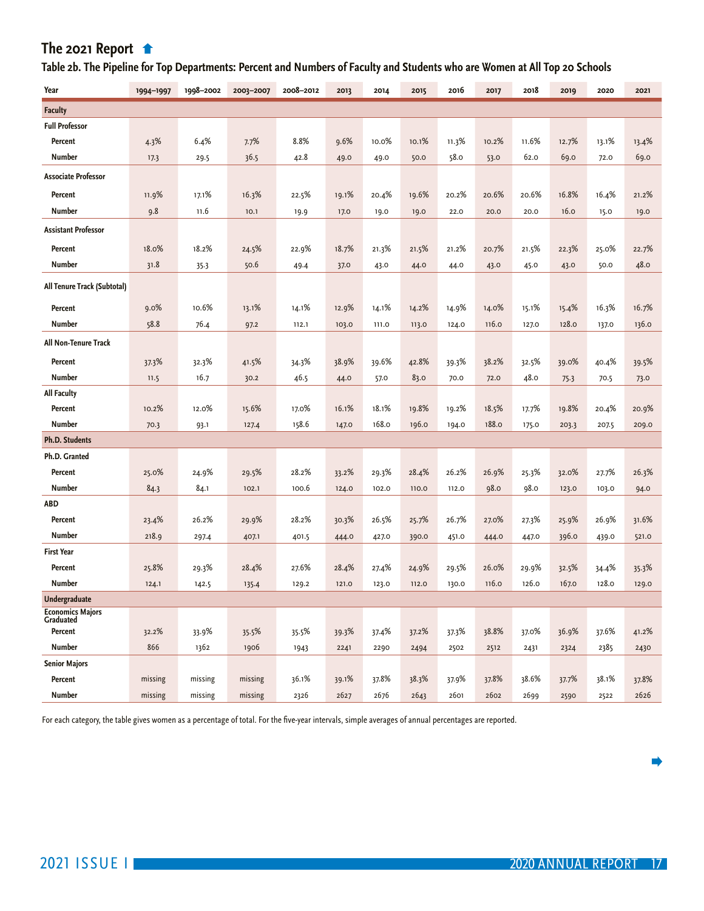## <span id="page-16-0"></span> **[Table 2b. The Pipeline for Top Departments: P](#page-15-0)ercent and Numbers of Faculty and Students who are Women at All Top 20 Schools**

| Year                                            | 1994-1997 | 1998-2002 | 2003-2007 | 2008-2012 | 2013  | 2014  | 2015  | 2016  | 2017  | 2018  | 2019  | 2020  | 2021  |
|-------------------------------------------------|-----------|-----------|-----------|-----------|-------|-------|-------|-------|-------|-------|-------|-------|-------|
| <b>Faculty</b>                                  |           |           |           |           |       |       |       |       |       |       |       |       |       |
| <b>Full Professor</b>                           |           |           |           |           |       |       |       |       |       |       |       |       |       |
| Percent                                         | 4.3%      | 6.4%      | 7.7%      | 8.8%      | 9.6%  | 10.0% | 10.1% | 11.3% | 10.2% | 11.6% | 12.7% | 13.1% | 13.4% |
| <b>Number</b>                                   | 17.3      | 29.5      | 36.5      | 42.8      | 49.0  | 49.0  | 50.0  | 58.0  | 53.0  | 62.0  | 69.0  | 72.0  | 69.0  |
| <b>Associate Professor</b>                      |           |           |           |           |       |       |       |       |       |       |       |       |       |
| Percent                                         | 11.9%     | 17.1%     | 16.3%     | 22.5%     | 19.1% | 20.4% | 19.6% | 20.2% | 20.6% | 20.6% | 16.8% | 16.4% | 21.2% |
| <b>Number</b>                                   | 9.8       | 11.6      | 10.1      | 19.9      | 17.0  | 19.0  | 19.0  | 22.0  | 20.0  | 20.0  | 16.0  | 15.0  | 19.0  |
| <b>Assistant Professor</b>                      |           |           |           |           |       |       |       |       |       |       |       |       |       |
| Percent                                         | 18.0%     | 18.2%     | 24.5%     | 22.9%     | 18.7% | 21.3% | 21.5% | 21.2% | 20.7% | 21.5% | 22.3% | 25.0% | 22.7% |
| <b>Number</b>                                   | 31.8      | 35.3      | 50.6      | 49.4      | 37.0  | 43.0  | 44.0  | 44.0  | 43.0  | 45.0  | 43.0  | 50.0  | 48.0  |
| All Tenure Track (Subtotal)                     |           |           |           |           |       |       |       |       |       |       |       |       |       |
| Percent                                         | 9.0%      | 10.6%     | 13.1%     | 14.1%     | 12.9% | 14.1% | 14.2% | 14.9% | 14.0% | 15.1% | 15.4% | 16.3% | 16.7% |
| <b>Number</b>                                   | 58.8      | 76.4      | 97.2      | 112.1     | 103.0 | 111.0 | 113.0 | 124.0 | 116.0 | 127.0 | 128.0 | 137.0 | 136.0 |
| All Non-Tenure Track                            |           |           |           |           |       |       |       |       |       |       |       |       |       |
| Percent                                         | 37.3%     | 32.3%     | 41.5%     | 34.3%     | 38.9% | 39.6% | 42.8% | 39.3% | 38.2% | 32.5% | 39.0% | 40.4% | 39.5% |
| <b>Number</b>                                   | 11.5      | 16.7      | 30.2      | 46.5      | 44.0  | 57.0  | 83.0  | 70.0  | 72.0  | 48.0  | 75.3  | 70.5  | 73.0  |
| <b>All Faculty</b>                              |           |           |           |           |       |       |       |       |       |       |       |       |       |
| Percent                                         | 10.2%     | 12.0%     | 15.6%     | 17.0%     | 16.1% | 18.1% | 19.8% | 19.2% | 18.5% | 17.7% | 19.8% | 20.4% | 20.9% |
| <b>Number</b>                                   | 70.3      | 93.1      | 127.4     | 158.6     | 147.0 | 168.0 | 196.0 | 194.0 | 188.0 | 175.0 | 203.3 | 207.5 | 209.0 |
| <b>Ph.D. Students</b>                           |           |           |           |           |       |       |       |       |       |       |       |       |       |
| Ph.D. Granted                                   |           |           |           |           |       |       |       |       |       |       |       |       |       |
| Percent                                         | 25.0%     | 24.9%     | 29.5%     | 28.2%     | 33.2% | 29.3% | 28.4% | 26.2% | 26.9% | 25.3% | 32.0% | 27.7% | 26.3% |
| <b>Number</b>                                   | 84.3      | 84.1      | 102.1     | 100.6     | 124.0 | 102.0 | 110.0 | 112.0 | 98.0  | 98.0  | 123.0 | 103.0 | 94.0  |
| <b>ABD</b>                                      |           |           |           |           |       |       |       |       |       |       |       |       |       |
| Percent                                         | 23.4%     | 26.2%     | 29.9%     | 28.2%     | 30.3% | 26.5% | 25.7% | 26.7% | 27.0% | 27.3% | 25.9% | 26.9% | 31.6% |
| <b>Number</b>                                   | 218.9     | 297.4     | 407.1     | 401.5     | 444.0 | 427.0 | 390.0 | 451.0 | 444.0 | 447.0 | 396.0 | 439.0 | 521.0 |
| <b>First Year</b>                               |           |           |           |           |       |       |       |       |       |       |       |       |       |
| Percent                                         | 25.8%     | 29.3%     | 28.4%     | 27.6%     | 28.4% | 27.4% | 24.9% | 29.5% | 26.0% | 29.9% | 32.5% | 34.4% | 35.3% |
| <b>Number</b>                                   | 124.1     | 142.5     | 135.4     | 129.2     | 121.0 | 123.0 | 112.0 | 130.0 | 116.0 | 126.0 | 167.0 | 128.0 | 129.0 |
| <b>Undergraduate</b><br><b>Economics Majors</b> |           |           |           |           |       |       |       |       |       |       |       |       |       |
| Graduated                                       |           |           |           |           |       |       |       |       |       |       |       |       |       |
| Percent                                         | 32.2%     | 33.9%     | 35.5%     | 35.5%     | 39.3% | 37.4% | 37.2% | 37.3% | 38.8% | 37.0% | 36.9% | 37.6% | 41.2% |
| <b>Number</b>                                   | 866       | 1362      | 1906      | 1943      | 2241  | 2290  | 2494  | 2502  | 2512  | 2431  | 2324  | 2385  | 2430  |
| <b>Senior Majors</b>                            |           |           |           |           |       |       |       |       |       |       |       |       |       |
| Percent                                         | missing   | missing   | missing   | 36.1%     | 39.1% | 37.8% | 38.3% | 37.9% | 37.8% | 38.6% | 37.7% | 38.1% | 37.8% |
| <b>Number</b>                                   | missing   | missing   | missing   | 2326      | 2627  | 2676  | 2643  | 2601  | 2602  | 2699  | 2590  | 2522  | 2626  |

For each category, the table gives women as a percentage of total. For the five-year intervals, simple averages of annual percentages are reported.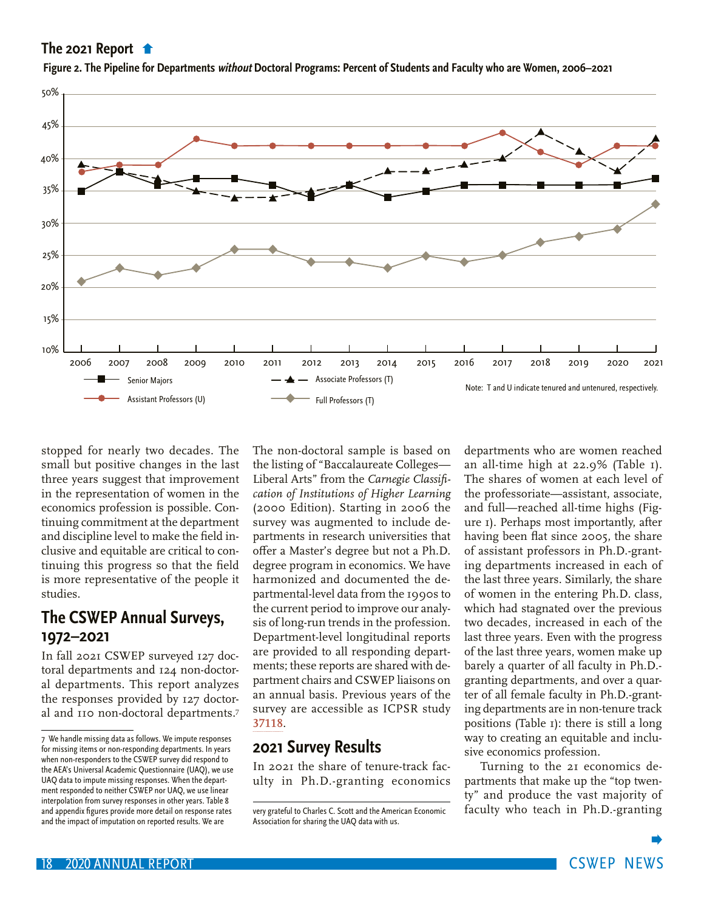

<span id="page-17-0"></span>**[Figure 2. The Pipeline for Departments](#page-16-0) without Doctoral Programs: Percent of Students and Faculty who are Women, 2006–2021**

stopped for nearly two decades. The small but positive changes in the last three years suggest that improvement in the representation of women in the economics profession is possible. Continuing commitment at the department and discipline level to make the field inclusive and equitable are critical to continuing this progress so that the field is more representative of the people it studies.

## **The CSWEP Annual Surveys, 1972–2021**

In fall 2021 CSWEP surveyed 127 doctoral departments and 124 non-doctoral departments. This report analyzes the responses provided by 127 doctoral and 110 non-doctoral departments.7 The non-doctoral sample is based on the listing of "Baccalaureate Colleges— Liberal Arts" from the *Carnegie Classification of Institutions of Higher Learning* (2000 Edition). Starting in 2006 the survey was augmented to include departments in research universities that offer a Master's degree but not a Ph.D. degree program in economics. We have harmonized and documented the departmental-level data from the 1990s to the current period to improve our analysis of long-run trends in the profession. Department-level longitudinal reports are provided to all responding departments; these reports are shared with department chairs and CSWEP liaisons on an annual basis. Previous years of the survey are accessible as ICPSR study **[37118](https://www.icpsr.umich.edu/web/ICPSR/studies/37118)**.

## **2021 Survey Results**

In 2021 the share of tenure-track faculty in Ph.D.-granting economics departments who are women reached an all-time high at 22.9% (Table 1). The shares of women at each level of the professoriate—assistant, associate, and full—reached all-time highs (Figure 1). Perhaps most importantly, after having been flat since 2005, the share of assistant professors in Ph.D.-granting departments increased in each of the last three years. Similarly, the share of women in the entering Ph.D. class, which had stagnated over the previous two decades, increased in each of the last three years. Even with the progress of the last three years, women make up barely a quarter of all faculty in Ph.D. granting departments, and over a quarter of all female faculty in Ph.D.-granting departments are in non-tenure track positions (Table 1): there is still a long way to creating an equitable and inclusive economics profession.

Turning to the 21 economics departments that make up the "top twenty" and produce the vast majority of faculty who teach in Ph.D.-granting

<sup>7</sup> We handle missing data as follows. We impute responses for missing items or non-responding departments. In years when non-responders to the CSWEP survey did respond to the AEA's Universal Academic Questionnaire (UAQ), we use UAQ data to impute missing responses. When the department responded to neither CSWEP nor UAQ, we use linear interpolation from survey responses in other years. Table 8 and appendix figures provide more detail on response rates and the impact of imputation on reported results. We are

very grateful to Charles C. Scott and the American Economic Association for sharing the UAQ data with us.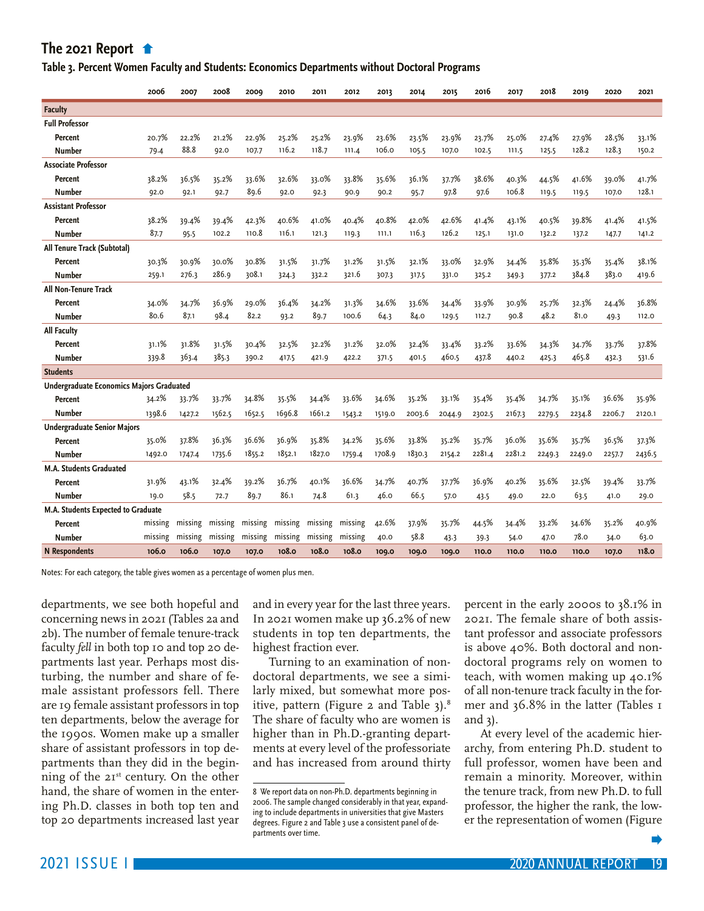#### <span id="page-18-0"></span>**Table 3. Percent Women Faculty and Students: Economics Departments without Doctoral Programs**

|                                                 | 2006    | 2007    | 2008    | 2009    | 2010    | 2011    | 2012    | 2013   | 2014   | 2015   | 2016   | 2017   | 2018   | 2019   | 2020   | 2021   |
|-------------------------------------------------|---------|---------|---------|---------|---------|---------|---------|--------|--------|--------|--------|--------|--------|--------|--------|--------|
| <b>Faculty</b>                                  |         |         |         |         |         |         |         |        |        |        |        |        |        |        |        |        |
| <b>Full Professor</b>                           |         |         |         |         |         |         |         |        |        |        |        |        |        |        |        |        |
| Percent                                         | 20.7%   | 22.2%   | 21.2%   | 22.9%   | 25.2%   | 25.2%   | 23.9%   | 23.6%  | 23.5%  | 23.9%  | 23.7%  | 25.0%  | 27.4%  | 27.9%  | 28.5%  | 33.1%  |
| <b>Number</b>                                   | 79.4    | 88.8    | 92.0    | 107.7   | 116.2   | 118.7   | 111.4   | 106.0  | 105.5  | 107.0  | 102.5  | 111.5  | 125.5  | 128.2  | 128.3  | 150.2  |
| <b>Associate Professor</b>                      |         |         |         |         |         |         |         |        |        |        |        |        |        |        |        |        |
| Percent                                         | 38.2%   | 36.5%   | 35.2%   | 33.6%   | 32.6%   | 33.0%   | 33.8%   | 35.6%  | 36.1%  | 37.7%  | 38.6%  | 40.3%  | 44.5%  | 41.6%  | 39.0%  | 41.7%  |
| Number                                          | 92.0    | 92.1    | 92.7    | 89.6    | 92.0    | 92.3    | 90.9    | 90.2   | 95.7   | 97.8   | 97.6   | 106.8  | 119.5  | 119.5  | 107.0  | 128.1  |
| <b>Assistant Professor</b>                      |         |         |         |         |         |         |         |        |        |        |        |        |        |        |        |        |
| Percent                                         | 38.2%   | 39.4%   | 39.4%   | 42.3%   | 40.6%   | 41.0%   | 40.4%   | 40.8%  | 42.0%  | 42.6%  | 41.4%  | 43.1%  | 40.5%  | 39.8%  | 41.4%  | 41.5%  |
| Number                                          | 87.7    | 95.5    | 102.2   | 110.8   | 116.1   | 121.3   | 119.3   | 111.1  | 116.3  | 126.2  | 125.1  | 131.0  | 132.2  | 137.2  | 147.7  | 141.2  |
| All Tenure Track (Subtotal)                     |         |         |         |         |         |         |         |        |        |        |        |        |        |        |        |        |
| Percent                                         | 30.3%   | 30.9%   | 30.0%   | 30.8%   | 31.5%   | 31.7%   | 31.2%   | 31.5%  | 32.1%  | 33.0%  | 32.9%  | 34.4%  | 35.8%  | 35.3%  | 35.4%  | 38.1%  |
| Number                                          | 259.1   | 276.3   | 286.9   | 308.1   | 324.3   | 332.2   | 321.6   | 307.3  | 317.5  | 331.0  | 325.2  | 349.3  | 377.2  | 384.8  | 383.0  | 419.6  |
| All Non-Tenure Track                            |         |         |         |         |         |         |         |        |        |        |        |        |        |        |        |        |
| Percent                                         | 34.0%   | 34.7%   | 36.9%   | 29.0%   | 36.4%   | 34.2%   | 31.3%   | 34.6%  | 33.6%  | 34.4%  | 33.9%  | 30.9%  | 25.7%  | 32.3%  | 24.4%  | 36.8%  |
| <b>Number</b>                                   | 80.6    | 87.1    | 98.4    | 82.2    | 93.2    | 89.7    | 100.6   | 64.3   | 84.0   | 129.5  | 112.7  | 90.8   | 48.2   | 81.0   | 49.3   | 112.0  |
| <b>All Faculty</b>                              |         |         |         |         |         |         |         |        |        |        |        |        |        |        |        |        |
| Percent                                         | 31.1%   | 31.8%   | 31.5%   | 30.4%   | 32.5%   | 32.2%   | 31.2%   | 32.0%  | 32.4%  | 33.4%  | 33.2%  | 33.6%  | 34.3%  | 34.7%  | 33.7%  | 37.8%  |
| <b>Number</b>                                   | 339.8   | 363.4   | 385.3   | 390.2   | 417.5   | 421.9   | 422.2   | 371.5  | 401.5  | 460.5  | 437.8  | 440.2  | 425.3  | 465.8  | 432.3  | 531.6  |
| <b>Students</b>                                 |         |         |         |         |         |         |         |        |        |        |        |        |        |        |        |        |
| <b>Undergraduate Economics Majors Graduated</b> |         |         |         |         |         |         |         |        |        |        |        |        |        |        |        |        |
| Percent                                         | 34.2%   | 33.7%   | 33.7%   | 34.8%   | 35.5%   | 34.4%   | 33.6%   | 34.6%  | 35.2%  | 33.1%  | 35.4%  | 35.4%  | 34.7%  | 35.1%  | 36.6%  | 35.9%  |
| Number                                          | 1398.6  | 1427.2  | 1562.5  | 1652.5  | 1696.8  | 1661.2  | 1543.2  | 1519.0 | 2003.6 | 2044.9 | 2302.5 | 2167.3 | 2279.5 | 2234.8 | 2206.7 | 2120.1 |
| <b>Undergraduate Senior Majors</b>              |         |         |         |         |         |         |         |        |        |        |        |        |        |        |        |        |
| Percent                                         | 35.0%   | 37.8%   | 36.3%   | 36.6%   | 36.9%   | 35.8%   | 34.2%   | 35.6%  | 33.8%  | 35.2%  | 35.7%  | 36.0%  | 35.6%  | 35.7%  | 36.5%  | 37.3%  |
| Number                                          | 1492.0  | 1747.4  | 1735.6  | 1855.2  | 1852.1  | 1827.0  | 1759.4  | 1708.9 | 1830.3 | 2154.2 | 2281.4 | 2281.2 | 2249.3 | 2249.0 | 2257.7 | 2436.5 |
| M.A. Students Graduated                         |         |         |         |         |         |         |         |        |        |        |        |        |        |        |        |        |
| Percent                                         | 31.9%   | 43.1%   | 32.4%   | 39.2%   | 36.7%   | 40.1%   | 36.6%   | 34.7%  | 40.7%  | 37.7%  | 36.9%  | 40.2%  | 35.6%  | 32.5%  | 39.4%  | 33.7%  |
| <b>Number</b>                                   | 19.0    | 58.5    | 72.7    | 89.7    | 86.1    | 74.8    | 61.3    | 46.0   | 66.5   | 57.0   | 43.5   | 49.0   | 22.0   | 63.5   | 41.0   | 29.0   |
| M.A. Students Expected to Graduate              |         |         |         |         |         |         |         |        |        |        |        |        |        |        |        |        |
| Percent                                         | missing | missing | missing | missing | missing | missing | missing | 42.6%  | 37.9%  | 35.7%  | 44.5%  | 34.4%  | 33.2%  | 34.6%  | 35.2%  | 40.9%  |
| <b>Number</b>                                   | missing | missing | missing | missing | missing | missing | missing | 40.0   | 58.8   | 43.3   | 39.3   | 54.0   | 47.0   | 78.0   | 34.0   | 63.0   |
| <b>N</b> Respondents                            | 106.0   | 106.0   | 107.0   | 107.0   | 108.0   | 108.0   | 108.0   | 109.0  | 109.0  | 109.0  | 110.0  | 110.0  | 110.0  | 110.0  | 107.0  | 118.0  |

Notes: For each category, the table gives women as a percentage of women plus men.

departments, we see both hopeful and concerning news in 2021 (Tables 2a and 2b). The number of female tenure-track faculty *fell* in both top 10 and top 20 departments last year. Perhaps most disturbing, the number and share of female assistant professors fell. There are 19 female assistant professors in top ten departments, below the average for the 1990s. Women make up a smaller share of assistant professors in top departments than they did in the beginning of the 21st century. On the other hand, the share of women in the entering Ph.D. classes in both top ten and top 20 departments increased last year

and in every year for the last three years. In 2021 women make up 36.2% of new students in top ten departments, the highest fraction ever.

Turning to an examination of nondoctoral departments, we see a similarly mixed, but somewhat more positive, pattern (Figure 2 and Table 3).<sup>8</sup> The share of faculty who are women is higher than in Ph.D.-granting departments at every level of the professoriate and has increased from around thirty percent in the early 2000s to 38.1% in 2021. The female share of both assistant professor and associate professors is above 40%. Both doctoral and nondoctoral programs rely on women to teach, with women making up 40.1% of all non-tenure track faculty in the former and 36.8% in the latter (Tables 1 and 3).

At every level of the academic hierarchy, from entering Ph.D. student to full professor, women have been and remain a minority. Moreover, within the tenure track, from new Ph.D. to full professor, the higher the rank, the lower the representation of women (Figure

<sup>8</sup> We report data on non-Ph.D. departments beginning in 2006. The sample changed considerably in that year, expanding to include departments in universities that give Masters degrees. Figure 2 and Table 3 use a consistent panel of departments over time.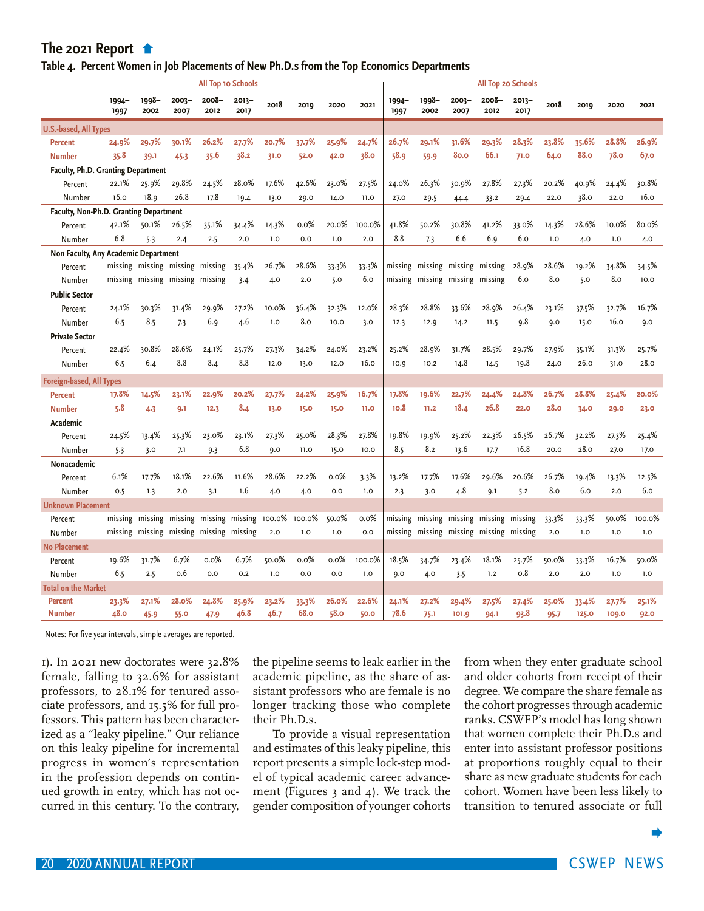#### <span id="page-19-0"></span>**[Table 4. Percent Women in Job Placements of](#page-18-0) New Ph.D.s from the Top Economics Departments**

|                                        | <b>All Top 10 Schools</b> |                                 |                  |                                         |               |        |        |       |         |                  | All Top 20 Schools                      |                  |               |               |          |       |       |              |
|----------------------------------------|---------------------------|---------------------------------|------------------|-----------------------------------------|---------------|--------|--------|-------|---------|------------------|-----------------------------------------|------------------|---------------|---------------|----------|-------|-------|--------------|
|                                        | $1994 -$<br>1997          | 1998-<br>2002                   | $2003 -$<br>2007 | 2008-<br>2012                           | 2013-<br>2017 | 2018   | 2019   | 2020  | 2021    | $1994 -$<br>1997 | 1998-<br>2002                           | $2003 -$<br>2007 | 2008-<br>2012 | 2013-<br>2017 | 2018     | 2019  | 2020  | 2021         |
| <b>U.S.-based, All Types</b>           |                           |                                 |                  |                                         |               |        |        |       |         |                  |                                         |                  |               |               |          |       |       |              |
| <b>Percent</b>                         | 24.9%                     | 29.7%                           | 30.1%            | 26.2%                                   | 27.7%         | 20.7%  | 37.7%  | 25.9% | 24.7%   | 26.7%            | 29.1%                                   | 31.6%            | 29.3%         | 28.3%         | 23.8%    | 35.6% | 28.8% | <b>26.9%</b> |
| <b>Number</b>                          | 35.8                      | 39.1                            | 45.3             | 35.6                                    | 38.2          | 31.0   | 52.0   | 42.0  | 38.0    | 58.9             | 59.9                                    | 80.0             | 66.1          | <b>71.0</b>   | 64.0     | 88.0  | 78.0  | 67.0         |
| Faculty, Ph.D. Granting Department     |                           |                                 |                  |                                         |               |        |        |       |         |                  |                                         |                  |               |               |          |       |       |              |
| Percent                                | 22.1%                     | 25.9%                           | 29.8%            | 24.5%                                   | 28.0%         | 17.6%  | 42.6%  | 23.0% | 27.5%   | 24.0%            | 26.3%                                   | 30.9%            | 27.8%         | 27.3%         | 20.2%    | 40.9% | 24.4% | 30.8%        |
| Number                                 | 16.0                      | 18.9                            | 26.8             | 17.8                                    | 19.4          | 13.0   | 29.0   | 14.0  | 11.0    | 27.0             | 29.5                                    | 44.4             | 33.2          | 29.4          | 22.0     | 38.0  | 22.0  | 16.0         |
| Faculty, Non-Ph.D. Granting Department |                           |                                 |                  |                                         |               |        |        |       |         |                  |                                         |                  |               |               |          |       |       |              |
| Percent                                | 42.1%                     | 50.1%                           | 26.5%            | 35.1%                                   | 34.4%         | 14.3%  | 0.0%   | 20.0% | 100.0%  | 41.8%            | 50.2%                                   | 30.8%            | 41.2%         | 33.0%         | 14.3%    | 28.6% | 10.0% | 80.0%        |
| Number                                 | 6.8                       | 5.3                             | 2.4              | 2.5                                     | 2.0           | 1.0    | 0.0    | 1.0   | 2.0     | 8.8              | 7.3                                     | 6.6              | 6.9           | 6.0           | 1.0      | 4.0   | 1.0   | 4.0          |
| Non Faculty, Any Academic Department   |                           |                                 |                  |                                         |               |        |        |       |         |                  |                                         |                  |               |               |          |       |       |              |
| Percent                                |                           | missing missing missing missing |                  |                                         | 35.4%         | 26.7%  | 28.6%  | 33.3% | 33.3%   |                  | missing missing missing                 |                  | missing       | 28.9%         | 28.6%    | 19.2% | 34.8% | 34.5%        |
| Number                                 |                           | missing missing missing missing |                  |                                         | 3.4           | 4.0    | 2.0    | 5.0   | 6.0     |                  | missing missing missing missing         |                  |               | 6.0           | 8.0      | 5.0   | 8.0   | 10.0         |
| <b>Public Sector</b>                   |                           |                                 |                  |                                         |               |        |        |       |         |                  |                                         |                  |               |               |          |       |       |              |
| Percent                                | 24.1%                     | 30.3%                           | 31.4%            | 29.9%                                   | 27.2%         | 10.0%  | 36.4%  | 32.3% | 12.0%   | 28.3%            | 28.8%                                   | 33.6%            | 28.9%         | 26.4%         | 23.1%    | 37.5% | 32.7% | 16.7%        |
| Number                                 | 6.5                       | 8.5                             | 7.3              | 6.9                                     | 4.6           | 1.0    | 8.0    | 10.0  | 3.0     | 12.3             | 12.9                                    | 14.2             | 11.5          | 9.8           | 9.0      | 15.0  | 16.0  | 9.0          |
| <b>Private Sector</b>                  |                           |                                 |                  |                                         |               |        |        |       |         |                  |                                         |                  |               |               |          |       |       |              |
| Percent                                | 22.4%                     | 30.8%                           | 28.6%            | 24.1%                                   | 25.7%         | 27.3%  | 34.2%  | 24.0% | 23.2%   | 25.2%            | 28.9%                                   | 31.7%            | 28.5%         | 29.7%         | 27.9%    | 35.1% | 31.3% | 25.7%        |
| Number                                 | 6.5                       | 6.4                             | 8.8              | 8.4                                     | 8.8           | 12.0   | 13.0   | 12.0  | 16.0    | 10.9             | 10.2                                    | 14.8             | 14.5          | 19.8          | 24.0     | 26.0  | 31.0  | 28.0         |
| <b>Foreign-based, All Types</b>        |                           |                                 |                  |                                         |               |        |        |       |         |                  |                                         |                  |               |               |          |       |       |              |
| <b>Percent</b>                         | 17.8%                     | 14.5%                           | 23.1%            | 22.9%                                   | 20.2%         | 27.7%  | 24.2%  | 25.9% | 16.7%   | 17.8%            | 19.6%                                   | 22.7%            | 24.4%         | 24.8%         | 26.7%    | 28.8% | 25.4% | 20.0%        |
| <b>Number</b>                          | 5.8                       | 4.3                             | 9.1              | 12.3                                    | 8.4           | 13.0   | 15.0   | 15.0  | 11.0    | 10.8             | 11.2                                    | 18.4             | 26.8          | 22.0          | 28.0     | 34.0  | 29.0  | 23.0         |
| Academic                               |                           |                                 |                  |                                         |               |        |        |       |         |                  |                                         |                  |               |               |          |       |       |              |
| Percent                                | 24.5%                     | 13.4%                           | 25.3%            | 23.0%                                   | 23.1%         | 27.3%  | 25.0%  | 28.3% | 27.8%   | 19.8%            | 19.9%                                   | 25.2%            | 22.3%         | 26.5%         | 26.7%    | 32.2% | 27.3% | 25.4%        |
| Number                                 | 5.3                       | 3.0                             | 7.1              | 9.3                                     | 6.8           | 9.0    | 11.0   | 15.0  | 10.0    | 8.5              | 8.2                                     | 13.6             | 17.7          | 16.8          | 20.0     | 28.0  | 27.0  | 17.0         |
| Nonacademic                            |                           |                                 |                  |                                         |               |        |        |       |         |                  |                                         |                  |               |               |          |       |       |              |
| Percent                                | 6.1%                      | 17.7%                           | 18.1%            | 22.6%                                   | 11.6%         | 28.6%  | 22.2%  | 0.0%  | 3.3%    | 13.2%            | 17.7%                                   | 17.6%            | 29.6%         | 20.6%         | 26.7%    | 19.4% | 13.3% | 12.5%        |
| Number                                 | 0.5                       | 1.3                             | 2.0              | 3.1                                     | 1.6           | 4.0    | 4.0    | 0.0   | 1.0     | 2.3              | 3.0                                     | 4.8              | 9.1           | 5.2           | 8.0      | 6.0   | 2.0   | 6.0          |
| <b>Unknown Placement</b>               |                           |                                 |                  |                                         |               |        |        |       |         |                  |                                         |                  |               |               |          |       |       |              |
| Percent                                |                           |                                 |                  | missing missing missing missing missing |               | 100.0% | 100.0% | 50.0% | $0.0\%$ |                  | missing missing missing missing         |                  |               | missing       | 33.3%    | 33.3% | 50.0% | 100.0%       |
| Number                                 |                           |                                 |                  | missing missing missing missing missing |               | 2.0    | 1.0    | 1.0   | 0.0     |                  | missing missing missing missing missing |                  |               |               | 2.0      | 1.0   | 1.0   | 1.0          |
| <b>No Placement</b>                    |                           |                                 |                  |                                         |               |        |        |       |         |                  |                                         |                  |               |               |          |       |       |              |
| Percent                                | 19.6%                     | 31.7%                           | 6.7%             | $0.0\%$                                 | 6.7%          | 50.0%  | 0.0%   | 0.0%  | 100.0%  | 18.5%            | 34.7%                                   | 23.4%            | 18.1%         | 25.7%         | 50.0%    | 33.3% | 16.7% | 50.0%        |
| Number                                 | 6.5                       | 2.5                             | 0.6              | 0.0                                     | 0.2           | 1.0    | 0.0    | 0.0   | 1.0     | 9.0              | 4.0                                     | 3.5              | 1.2           | 0.8           | 2.0      | 2.0   | 1.0   | 1.0          |
| <b>Total on the Market</b>             |                           |                                 |                  |                                         |               |        |        |       |         |                  |                                         |                  |               |               |          |       |       |              |
| <b>Percent</b>                         | 23.3%                     | 27.1%                           | 28.0%            | 24.8%                                   | 25.9%         | 23.2%  | 33.3%  | 26.0% | 22.6%   | 24.1%            | 27.2%                                   | 29.4%            | 27.5%         | 27.4%         | 25.0%    | 33.4% | 27.7% | 25.1%        |
| <b>Number</b>                          | 48.0                      | 45.9                            | 55.0             | 47.9                                    | 46.8          | 46.7   | 68.o   | 58.0  | 50.0    | 78.6             | 75.1                                    | 101.9            | 94.1          | 93.8          | $95 - 7$ | 125.0 | 109.0 | 92.0         |

Notes: For five year intervals, simple averages are reported.

1). In 2021 new doctorates were 32.8% female, falling to 32.6% for assistant professors, to 28.1% for tenured associate professors, and 15.5% for full professors. This pattern has been characterized as a "leaky pipeline." Our reliance on this leaky pipeline for incremental progress in women's representation in the profession depends on continued growth in entry, which has not occurred in this century. To the contrary,

the pipeline seems to leak earlier in the academic pipeline, as the share of assistant professors who are female is no longer tracking those who complete their Ph.D.s.

 To provide a visual representation and estimates of this leaky pipeline, this report presents a simple lock-step model of typical academic career advancement (Figures 3 and 4). We track the gender composition of younger cohorts from when they enter graduate school and older cohorts from receipt of their degree. We compare the share female as the cohort progresses through academic ranks. CSWEP's model has long shown that women complete their Ph.D.s and enter into assistant professor positions at proportions roughly equal to their share as new graduate students for each cohort. Women have been less likely to transition to tenured associate or full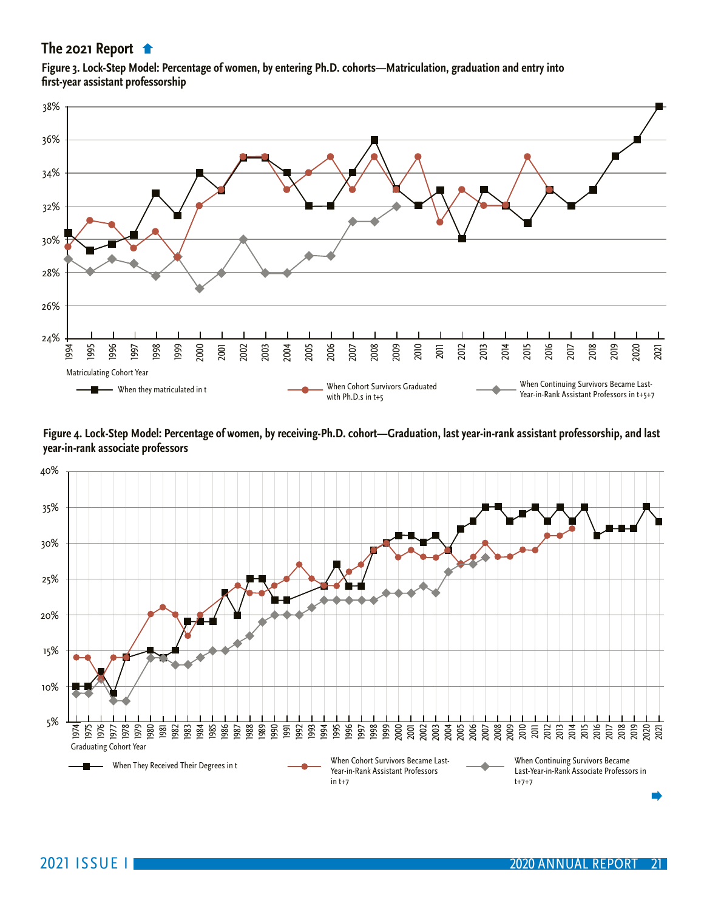<span id="page-20-0"></span>**[Figure 3. Lock-Step Model: Percentage of wom](#page-19-0)en, by entering Ph.D. cohorts—Matriculation, graduation and entry into first-year assistant professorship**



**Figure 4. Lock-Step Model: Percentage of women, by receiving-Ph.D. cohort—Graduation, last year-in-rank assistant professorship, and last year-in-rank associate professors**

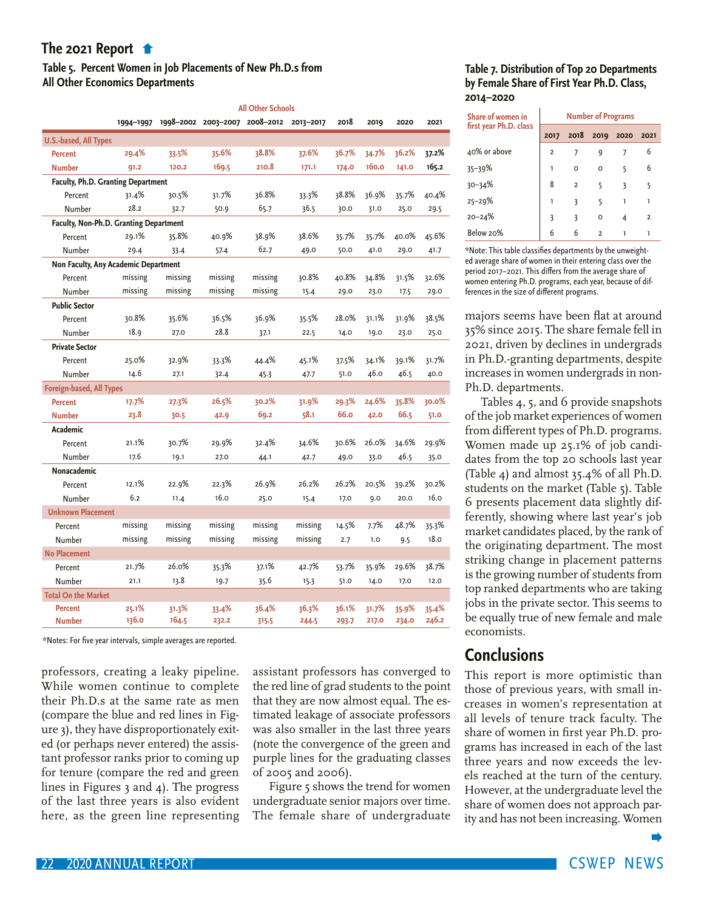## <span id="page-21-0"></span>**[Table 5. Percent Women in Job Placements of](#page-20-0) New Ph.D.s from All Other Economics Departments**

|                                        |           |         |                               | <b>All Other Schools</b> |           |       |       |       |       |
|----------------------------------------|-----------|---------|-------------------------------|--------------------------|-----------|-------|-------|-------|-------|
|                                        | 1994-1997 |         | 1998-2002 2003-2007 2008-2012 |                          | 2013-2017 | 2018  | 2019  | 2020  | 2021  |
| <b>U.S.-based, All Types</b>           |           |         |                               |                          |           |       |       |       |       |
| <b>Percent</b>                         | 29.4%     | 33.5%   | 35.6%                         | 38.8%                    | 37.6%     | 36.7% | 34.7% | 36.2% | 37.2% |
| <b>Number</b>                          | 91.2      | 120.2   | 169.5                         | 210.8                    | 171.1     | 174.0 | 160.0 | 141.0 | 165.2 |
| Faculty, Ph.D. Granting Department     |           |         |                               |                          |           |       |       |       |       |
| Percent                                | 31.4%     | 30.5%   | 31.7%                         | 36.8%                    | 33.3%     | 38.8% | 36.9% | 35.7% | 40.4% |
| Number                                 | 28.2      | 32.7    | 50.9                          | 65.7                     | 36.5      | 30.0  | 31.0  | 25.0  | 29.5  |
| Faculty, Non-Ph.D. Granting Department |           |         |                               |                          |           |       |       |       |       |
| Percent                                | 29.1%     | 35.8%   | 40.9%                         | 38.9%                    | 38.6%     | 35.7% | 35.7% | 40.0% | 45.6% |
| Number                                 | 29.4      | 33.4    | 57.4                          | 62.7                     | 49.0      | 50.0  | 41.0  | 29.0  | 41.7  |
| Non Faculty, Any Academic Department   |           |         |                               |                          |           |       |       |       |       |
| Percent                                | missing   | missing | missing                       | missing                  | 30.8%     | 40.8% | 34.8% | 31.5% | 32.6% |
| Number                                 | missing   | missing | missing                       | missing                  | 15.4      | 29.0  | 23.0  | 17.5  | 29.0  |
| <b>Public Sector</b>                   |           |         |                               |                          |           |       |       |       |       |
| Percent                                | 30.8%     | 35.6%   | 36.5%                         | 36.9%                    | 35.5%     | 28.0% | 31.1% | 31.9% | 38.5% |
| Number                                 | 18.9      | 27.0    | 28.8                          | 37.1                     | 22.5      | 14.0  | 19.0  | 23.0  | 25.0  |
| <b>Private Sector</b>                  |           |         |                               |                          |           |       |       |       |       |
| Percent                                | 25.0%     | 32.9%   | 33.3%                         | 44.4%                    | 45.1%     | 37.5% | 34.1% | 39.1% | 31.7% |
| Number                                 | 14.6      | 27.1    | 32.4                          | 45.3                     | 47.7      | 51.0  | 46.0  | 46.5  | 40.0  |
| <b>Foreign-based, All Types</b>        |           |         |                               |                          |           |       |       |       |       |
| <b>Percent</b>                         | 17.7%     | 27.3%   | 26.5%                         | 30.2%                    | 31.9%     | 29.3% | 24.6% | 35.8% | 30.0% |
| <b>Number</b>                          | 23.8      | 30.5    | 42.9                          | 69.2                     | 58.1      | 66.o  | 42.0  | 66.5  | 51.0  |
| Academic                               |           |         |                               |                          |           |       |       |       |       |
| Percent                                | 21.1%     | 30.7%   | 29.9%                         | 32.4%                    | 34.6%     | 30.6% | 26.0% | 34.6% | 29.9% |
| Number                                 | 17.6      | 19.1    | 27.0                          | 44.1                     | 42.7      | 49.0  | 33.0  | 46.5  | 35.0  |
| Nonacademic                            |           |         |                               |                          |           |       |       |       |       |
| Percent                                | 12.1%     | 22.9%   | 22.3%                         | 26.9%                    | 26.2%     | 26.2% | 20.5% | 39.2% | 30.2% |
| Number                                 | 6.2       | 11.4    | 16.0                          | 25.0                     | 15.4      | 17.0  | 9.0   | 20.0  | 16.0  |
| <b>Unknown Placement</b>               |           |         |                               |                          |           |       |       |       |       |
| Percent                                | missing   | missing | missing                       | missing                  | missing   | 14.5% | 7.7%  | 48.7% | 35.3% |
| Number                                 | missing   | missing | missing                       | missing                  | missing   | 2.7   | 1.0   | 9.5   | 18.0  |
| <b>No Placement</b>                    |           |         |                               |                          |           |       |       |       |       |
| Percent                                | 21.7%     | 26.0%   | 35.3%                         | 37.1%                    | 42.7%     | 53.7% | 35.9% | 29.6% | 38.7% |
| Number                                 | 21.1      | 13.8    | 19.7                          | 35.6                     | 15.3      | 51.0  | 14.0  | 17.0  | 12.0  |
| <b>Total On the Market</b>             |           |         |                               |                          |           |       |       |       |       |
| <b>Percent</b>                         | 25.1%     | 31.3%   | 33.4%                         | 36.4%                    | 36.3%     | 36.1% | 31.7% | 35.9% | 35.4% |
| <b>Number</b>                          | 136.0     | 164.5   | 232.2                         | 315-5                    | 244.5     | 293.7 | 217.0 | 234.0 | 246.2 |

\*Notes: For five year intervals, simple averages are reported.

professors, creating a leaky pipeline. While women continue to complete their Ph.D.s at the same rate as men (compare the blue and red lines in Figure 3), they have disproportionately exited (or perhaps never entered) the assistant professor ranks prior to coming up for tenure (compare the red and green lines in Figures 3 and 4). The progress of the last three years is also evident here, as the green line representing

assistant professors has converged to the red line of grad students to the point that they are now almost equal. The estimated leakage of associate professors was also smaller in the last three years (note the convergence of the green and purple lines for the graduating classes of 2005 and 2006).

Figure 5 shows the trend for women undergraduate senior majors over time. The female share of undergraduate

#### **Table 7. Distribution of Top 20 Departments by Female Share of First Year Ph.D. Class, 2014–2020**

| Share of women in      | <b>Number of Programs</b> |                |           |   |                |  |  |  |  |  |  |  |
|------------------------|---------------------------|----------------|-----------|---|----------------|--|--|--|--|--|--|--|
| first year Ph.D. class | 2017                      | 2018           | 2019 2020 |   | 2021           |  |  |  |  |  |  |  |
| 40% or above           | $\overline{2}$            |                |           |   | 6              |  |  |  |  |  |  |  |
| $35 - 39%$             | ı                         | $\Omega$       | $\Omega$  | 5 | 6              |  |  |  |  |  |  |  |
| $30 - 34%$             | 8                         | $\overline{2}$ |           | 3 | 5              |  |  |  |  |  |  |  |
| $25 - 29%$             | ı                         | 3              |           |   |                |  |  |  |  |  |  |  |
| $20 - 24%$             | 3                         | 3              | $\Omega$  |   | $\overline{2}$ |  |  |  |  |  |  |  |
| Below 20%              |                           |                |           |   |                |  |  |  |  |  |  |  |

\*Note: This table classifies departments by the unweighted average share of women in their entering class over the period 2017–2021. This differs from the average share of women entering Ph.D. programs, each year, because of differences in the size of different programs.

majors seems have been flat at around 35% since 2015. The share female fell in 2021, driven by declines in undergrads in Ph.D.-granting departments, despite increases in women undergrads in non-Ph.D. departments.

Tables 4, 5, and 6 provide snapshots of the job market experiences of women from different types of Ph.D. programs. Women made up 25.1% of job candidates from the top 20 schools last year (Table 4) and almost 35.4% of all Ph.D. students on the market (Table 5). Table 6 presents placement data slightly differently, showing where last year's job market candidates placed, by the rank of the originating department. The most striking change in placement patterns is the growing number of students from top ranked departments who are taking jobs in the private sector. This seems to be equally true of new female and male economists.

## **Conclusions**

This report is more optimistic than those of previous years, with small increases in women's representation at all levels of tenure track faculty. The share of women in first year Ph.D. programs has increased in each of the last three years and now exceeds the levels reached at the turn of the century. However, at the undergraduate level the share of women does not approach parity and has not been increasing. Women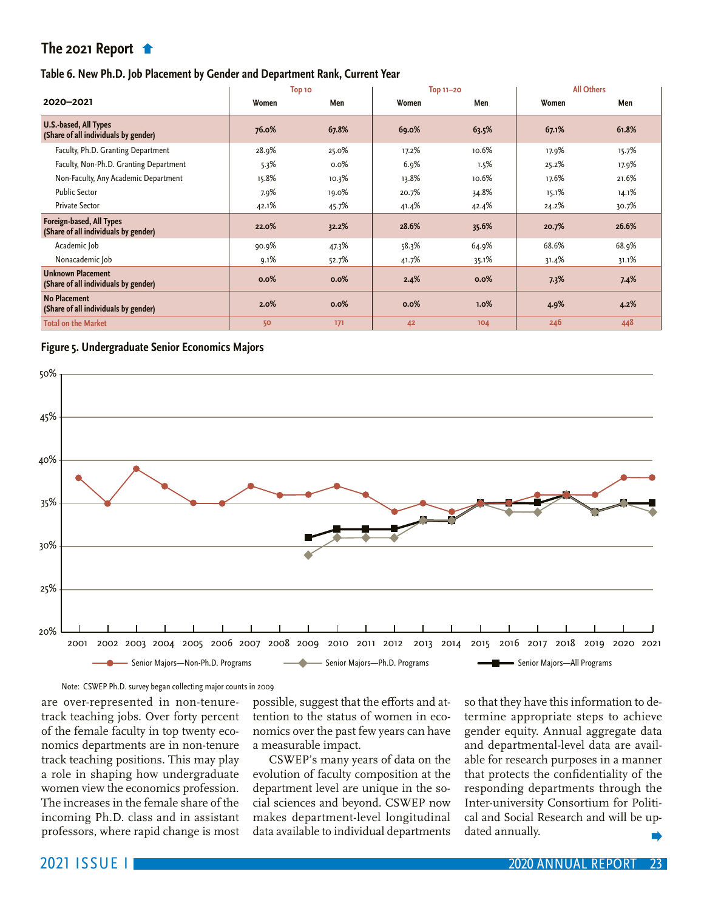#### <span id="page-22-0"></span>**Table 6. New Ph.D. Job Placement by Gender and Department Rank, Current Year**

|                                                                  |       | Top 10 | <b>Top 11-20</b> |       | <b>All Others</b> |       |  |  |
|------------------------------------------------------------------|-------|--------|------------------|-------|-------------------|-------|--|--|
| 2020-2021                                                        | Women | Men    | Women            | Men   | Women             | Men   |  |  |
| U.S.-based, All Types<br>(Share of all individuals by gender)    | 76.0% | 67.8%  | 69.0%            | 63.5% | 67.1%             | 61.8% |  |  |
| Faculty, Ph.D. Granting Department                               | 28.9% | 25.0%  | 17.2%            | 10.6% | 17.9%             | 15.7% |  |  |
| Faculty, Non-Ph.D. Granting Department                           | 5.3%  | 0.0%   | 6.9%             | 1.5%  | 25.2%             | 17.9% |  |  |
| Non-Faculty, Any Academic Department                             | 15.8% | 10.3%  | 13.8%            | 10.6% | 17.6%             | 21.6% |  |  |
| <b>Public Sector</b>                                             | 7.9%  | 19.0%  | 20.7%            | 34.8% | 15.1%             | 14.1% |  |  |
| <b>Private Sector</b>                                            | 42.1% | 45.7%  | 41.4%            | 42.4% | 24.2%             | 30.7% |  |  |
| Foreign-based, All Types<br>(Share of all individuals by gender) | 22.0% | 32.2%  | 28.6%            | 35.6% | 20.7%             | 26.6% |  |  |
| Academic Job                                                     | 90.9% | 47.3%  | 58.3%            | 64.9% | 68.6%             | 68.9% |  |  |
| Nonacademic Job                                                  | 9.1%  | 52.7%  | 41.7%            | 35.1% | 31.4%             | 31.1% |  |  |
| <b>Unknown Placement</b><br>(Share of all individuals by gender) | 0.0%  | 0.0%   | 2.4%             | 0.0%  | 7.3%              | 7.4%  |  |  |
| <b>No Placement</b><br>(Share of all individuals by gender)      | 2.0%  | 0.0%   | 0.0%             | 1.0%  | 4.9%              | 4.2%  |  |  |
| <b>Total on the Market</b>                                       | 50    | 171    | 42               | 104   | 246               | 448   |  |  |

#### **Figure 5. Undergraduate Senior Economics Majors**



#### Note: CSWEP Ph.D. survey began collecting major counts in 2009

are over-represented in non-tenuretrack teaching jobs. Over forty percent of the female faculty in top twenty economics departments are in non-tenure track teaching positions. This may play a role in shaping how undergraduate women view the economics profession. The increases in the female share of the incoming Ph.D. class and in assistant professors, where rapid change is most

possible, suggest that the efforts and attention to the status of women in economics over the past few years can have a measurable impact.

CSWEP's many years of data on the evolution of faculty composition at the department level are unique in the social sciences and beyond. CSWEP now makes department-level longitudinal data available to individual departments

so that they have this information to determine appropriate steps to achieve gender equity. Annual aggregate data and departmental-level data are available for research purposes in a manner that protects the confidentiality of the responding departments through the Inter-university Consortium for Political and Social Research and will be updated annually.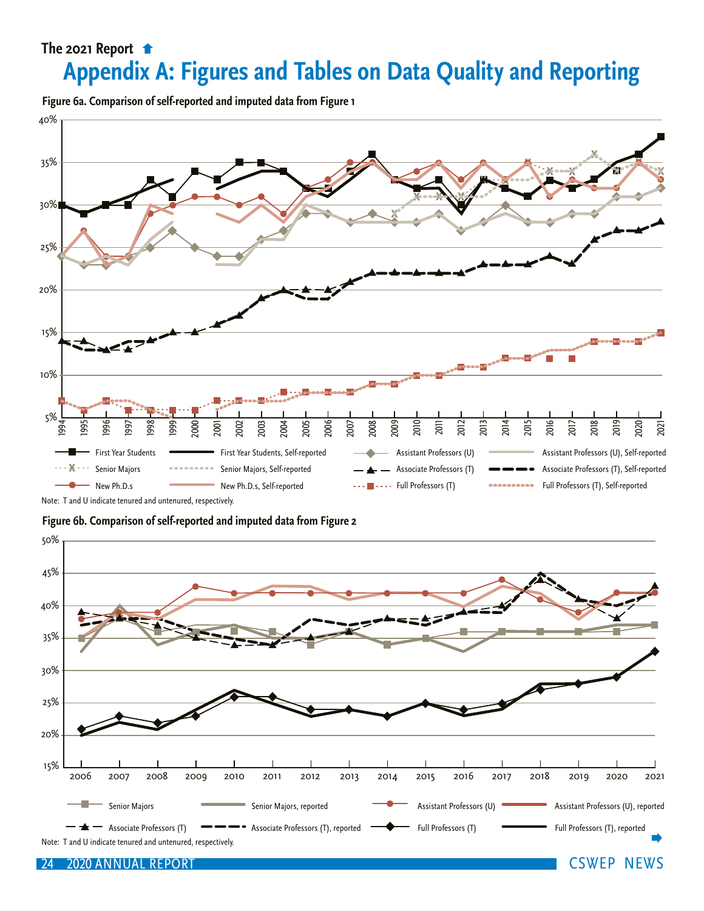## <span id="page-23-0"></span>**[Appendix A: Figures](#page-22-0) and Tables on Data Quality and Reporting**

**Figure 6a. Comparison of self-reported and imputed data from Figure 1**



Note: T and U indicate tenured and untenured, respectively.

**Figure 6b. Comparison of self-reported and imputed data from Figure 2**

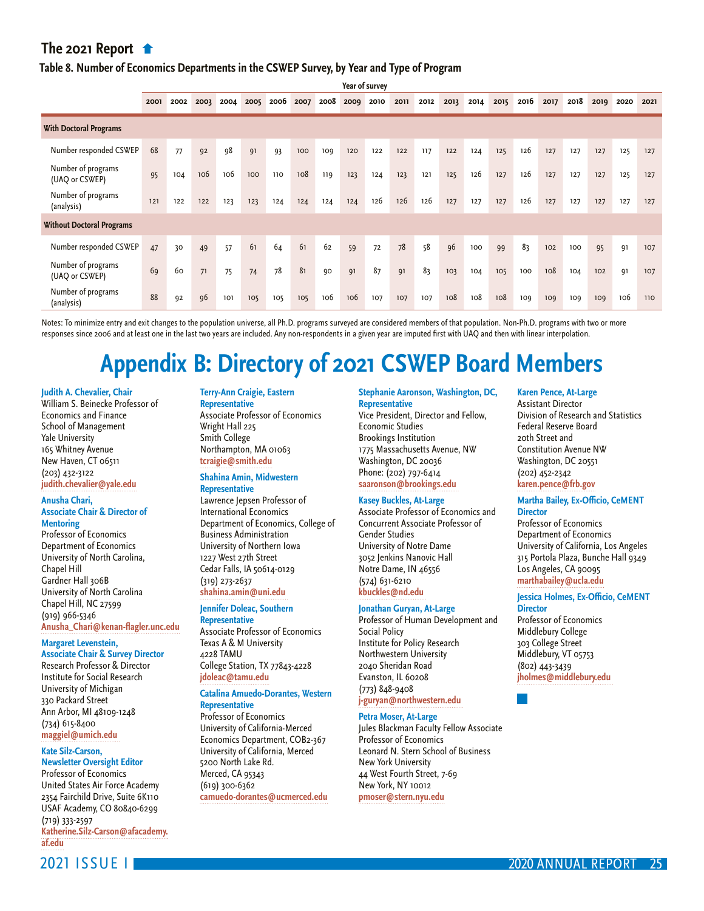#### **[Table 8. Number of Economics Departments in](#page-23-0) the CSWEP Survey, by Year and Type of Program**

**Year of survey**

|                                      | 2001 | 2002 | 2003 | 2004 | 2005 | 2006 | 2007 | 2008 | 2009 | 2010 | 2011 | 2012 | 2013 | 2014 | 2015 | 2016 | 2017 | 2018 | 2019 | 2020 | 2021 |
|--------------------------------------|------|------|------|------|------|------|------|------|------|------|------|------|------|------|------|------|------|------|------|------|------|
| <b>With Doctoral Programs</b>        |      |      |      |      |      |      |      |      |      |      |      |      |      |      |      |      |      |      |      |      |      |
| Number responded CSWEP               | 68   | 77   | 92   | 98   | 91   | 93   | 100  | 109  | 120  | 122  | 122  | 117  | 122  | 124  | 125  | 126  | 127  | 127  | 127  | 125  | 127  |
| Number of programs<br>(UAQ or CSWEP) | 95   | 104  | 106  | 106  | 100  | 110  | 108  | 119  | 123  | 124  | 123  | 121  | 125  | 126  | 127  | 126  | 127  | 127  | 127  | 125  | 127  |
| Number of programs<br>(analysis)     | 121  | 122  | 122  | 123  | 123  | 124  | 124  | 124  | 124  | 126  | 126  | 126  | 127  | 127  | 127  | 126  | 127  | 127  | 127  | 127  | 127  |
| <b>Without Doctoral Programs</b>     |      |      |      |      |      |      |      |      |      |      |      |      |      |      |      |      |      |      |      |      |      |
| Number responded CSWEP               | 47   | 30   | 49   | 57   | 61   | 64   | 61   | 62   | 59   | 72   | 78   | 58   | 96   | 100  | 99   | 83   | 102  | 100  | 95   | 91   | 107  |
| Number of programs<br>(UAQ or CSWEP) | 69   | 60   | 71   | 75   | 74   | 78   | 81   | 90   | 91   | 87   | 91   | 83   | 103  | 104  | 105  | 100  | 108  | 104  | 102  | 91   | 107  |
| Number of programs<br>(analysis)     | 88   | 92   | 96   | 101  | 105  | 105  | 105  | 106  | 106  | 107  | 107  | 107  | 108  | 108  | 108  | 109  | 109  | 109  | 109  | 106  | 110  |

Notes: To minimize entry and exit changes to the population universe, all Ph.D. programs surveyed are considered members of that population. Non-Ph.D. programs with two or more responses since 2006 and at least one in the last two years are included. Any non-respondents in a given year are imputed first with UAQ and then with linear interpolation.

## **Appendix B: Directory of 2021 CSWEP Board Members**

#### **Judith A. Chevalier, Chair**

William S. Beinecke Professor of Economics and Finance School of Management Yale University 165 Whitney Avenue New Haven, CT 06511 (203) 432-3122 **[judith.chevalier@yale.edu](mailto:judith.chevalier@yale.edu)**

#### **Anusha Chari, Associate Chair & Director of**

**Mentoring** Professor of Economics Department of Economics University of North Carolina, Chapel Hill Gardner Hall 306B University of North Carolina Chapel Hill, NC 27599 (919) 966-5346 **[Anusha\\_Chari@kenan-flagler.unc.edu](mailto:Anusha_Chari@kenan-flagler.unc.edu)**

**Margaret Levenstein,** 

**Associate Chair & Survey Director** Research Professor & Director Institute for Social Research University of Michigan 330 Packard Street Ann Arbor, MI 48109-1248 (734) 615-8400 **[maggiel@umich.edu](mailto:maggiel@umich.edu)** 

#### **Kate Silz-Carson,**

**Newsletter Oversight Editor** Professor of Economics United States Air Force Academy 2354 Fairchild Drive, Suite 6K110 USAF Academy, CO 80840-6299 (719) 333-2597 **[Katherine.Silz-Carson@afacademy.](mailto:Katherine.Silz-Carson@afacademy.af.edu) [af.edu](mailto:Katherine.Silz-Carson@afacademy.af.edu)**

## **Terry-Ann Craigie, Eastern**

**Representative** Associate Professor of Economics Wright Hall 225 Smith College Northampton, MA 01063 **[tcraigie@smith.edu](mailto:tcraigie@smith.edu)**

#### **Shahina Amin, Midwestern Representative**

Lawrence Jepsen Professor of International Economics Department of Economics, College of Business Administration University of Northern Iowa 1227 West 27th Street Cedar Falls, IA 50614-0129 (319) 273-2637 **[shahina.amin@uni.edu](mailto:shahina.amin@uni.edu)** 

**Jennifer Doleac, Southern** 

**Representative** Associate Professor of Economics Texas A & M University 4228 TAMU College Station, TX 77843-4228 **[jdoleac@tamu.edu](mailto:jdoleac@tamu.edu)**

#### **Catalina Amuedo-Dorantes, Western Representative**

Professor of Economics University of California-Merced Economics Department, COB2-367 University of California, Merced 5200 North Lake Rd. Merced, CA 95343 (619) 300-6362 **[camuedo-dorantes@ucmerced.edu](mailto:camuedo-dorantes@ucmerced.edu)**

#### **Stephanie Aaronson, Washington, DC, Representative**

Vice President, Director and Fellow, Economic Studies Brookings Institution 1775 Massachusetts Avenue, NW Washington, DC 20036 Phone: (202) 797-6414 **[saaronson@brookings.edu](mailto:saaronson@brookings.edu)** 

#### **Kasey Buckles, At-Large**

Associate Professor of Economics and Concurrent Associate Professor of Gender Studies University of Notre Dame 3052 Jenkins Nanovic Hall Notre Dame, IN 46556 (574) 631-6210 **[kbuckles@nd.edu](mailto:kbuckles@nd.edu)** 

#### **Jonathan Guryan, At-Large**

Professor of Human Development and Social Policy Institute for Policy Research Northwestern University 2040 Sheridan Road Evanston, IL 60208 (773) 848-9408 **[j-guryan@northwestern.edu](mailto:j-guryan@northwestern.edu)** 

## **Petra Moser, At-Large**

Jules Blackman Faculty Fellow Associate Professor of Economics Leonard N. Stern School of Business New York University 44 West Fourth Street, 7-69 New York, NY 10012 **[pmoser@stern.nyu.edu](mailto:pmoser@stern.nyu.edu)**

#### **Karen Pence, At-Large**

Assistant Director Division of Research and Statistics Federal Reserve Board 20th Street and Constitution Avenue NW Washington, DC 20551 (202) 452-2342 **[karen.pence@frb.gov](mailto:karen.pence@frb.gov)**

#### **Martha Bailey, Ex-Officio, CeMENT Director**

Professor of Economics Department of Economics University of California, Los Angeles 315 Portola Plaza, Bunche Hall 9349 Los Angeles, CA 90095 **[marthabailey@ucla.edu](mailto:marthabailey%40ucla.edu?subject=)**

#### **Jessica Holmes, Ex-Officio, CeMENT Director**

Professor of Economics Middlebury College 303 College Street Middlebury, VT 05753 (802) 443-3439 **[jholmes@middlebury.edu](mailto:jholmes@middlebury.edu)**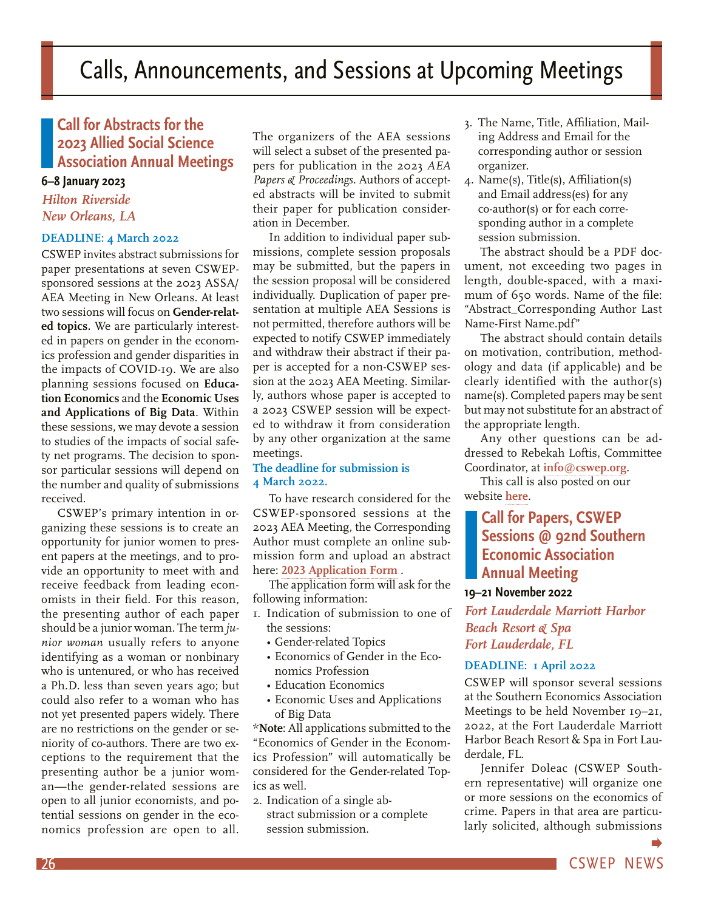## <span id="page-25-0"></span>**Call for Abstracts for the 2023 Allied Social Science Association Annual Meetings**

## **6–8 January 2023**

*Hilton Riverside New Orleans, LA*

### **DEADLINE: 4 March 2022**

CSWEP invites abstract submissions for paper presentations at seven CSWEPsponsored sessions at the 2023 ASSA/ AEA Meeting in New Orleans. At least two sessions will focus on **Gender-related topics.** We are particularly interested in papers on gender in the economics profession and gender disparities in the impacts of COVID-19. We are also planning sessions focused on **Education Economics** and the **Economic Uses and Applications of Big Data**. Within these sessions, we may devote a session to studies of the impacts of social safety net programs. The decision to sponsor particular sessions will depend on the number and quality of submissions received.

CSWEP's primary intention in organizing these sessions is to create an opportunity for junior women to present papers at the meetings, and to provide an opportunity to meet with and receive feedback from leading economists in their field. For this reason, the presenting author of each paper should be a junior woman. The term *junior woman* usually refers to anyone identifying as a woman or nonbinary who is untenured, or who has received a Ph.D. less than seven years ago; but could also refer to a woman who has not yet presented papers widely. There are no restrictions on the gender or seniority of co-authors. There are two exceptions to the requirement that the presenting author be a junior woman—the gender-related sessions are open to all junior economists, and potential sessions on gender in the economics profession are open to all.

The organizers of the AEA sessions will select a subset of the presented papers for publication in the 2023 *AEA Papers & Proceedings*. Authors of accepted abstracts will be invited to submit their paper for publication consideration in December.

In addition to individual paper submissions, complete session proposals may be submitted, but the papers in the session proposal will be considered individually. Duplication of paper presentation at multiple AEA Sessions is not permitted, therefore authors will be expected to notify CSWEP immediately and withdraw their abstract if their paper is accepted for a non-CSWEP session at the 2023 AEA Meeting. Similarly, authors whose paper is accepted to a 2023 CSWEP session will be expected to withdraw it from consideration by any other organization at the same meetings.

### **The deadline for submission is 4 March 2022.**

To have research considered for the CSWEP-sponsored sessions at the 2023 AEA Meeting, the Corresponding Author must complete an online submission form and upload an abstract here: **[2023 Application Form](https://yale.qualtrics.com/jfe/form/SV_a5EVvcamVNMFzMi)** .

The application form will ask for the following information:

- 1. Indication of submission to one of the sessions:
	- Gender-related Topics
	- Economics of Gender in the Economics Profession
	- Education Economics
	- Economic Uses and Applications of Big Data

\***Note**: All applications submitted to the "Economics of Gender in the Economics Profession" will automatically be considered for the Gender-related Topics as well.

2. Indication of a single abstract submission or a complete session submission.

- 3. The Name, Title, Affiliation, Mailing Address and Email for the corresponding author or session organizer.
- 4. Name(s), Title(s), Affiliation(s) and Email address(es) for any co-author(s) or for each corresponding author in a complete session submission.

The abstract should be a PDF document, not exceeding two pages in length, double-spaced, with a maximum of 650 words. Name of the file: "Abstract\_Corresponding Author Last Name-First Name.pdf"

The abstract should contain details on motivation, contribution, methodology and data (if applicable) and be clearly identified with the author(s) name(s). Completed papers may be sent but may not substitute for an abstract of the appropriate length.

Any other questions can be addressed to Rebekah Loftis, Committee Coordinator, at **[info@cswep.org](mailto:info@cswep.org)**.

This call is also posted on our website **[here](https://www.aeaweb.org/about-aea/committees/cswep/participate/annual-meeting/paper-sessions)**.

## **Call for Papers, CSWEP Sessions @ 92nd Southern Economic Association Annual Meeting**

### **19–21 November 2022**

*Fort Lauderdale Marriott Harbor Beach Resort & Spa Fort Lauderdale, FL*

### **DEADLINE: 1 April 2022**

CSWEP will sponsor several sessions at the Southern Economics Association Meetings to be held November 19–21, 2022, at the Fort Lauderdale Marriott Harbor Beach Resort & Spa in Fort Lauderdale, FL.

Jennifer Doleac (CSWEP Southern representative) will organize one or more sessions on the economics of crime. Papers in that area are particularly solicited, although submissions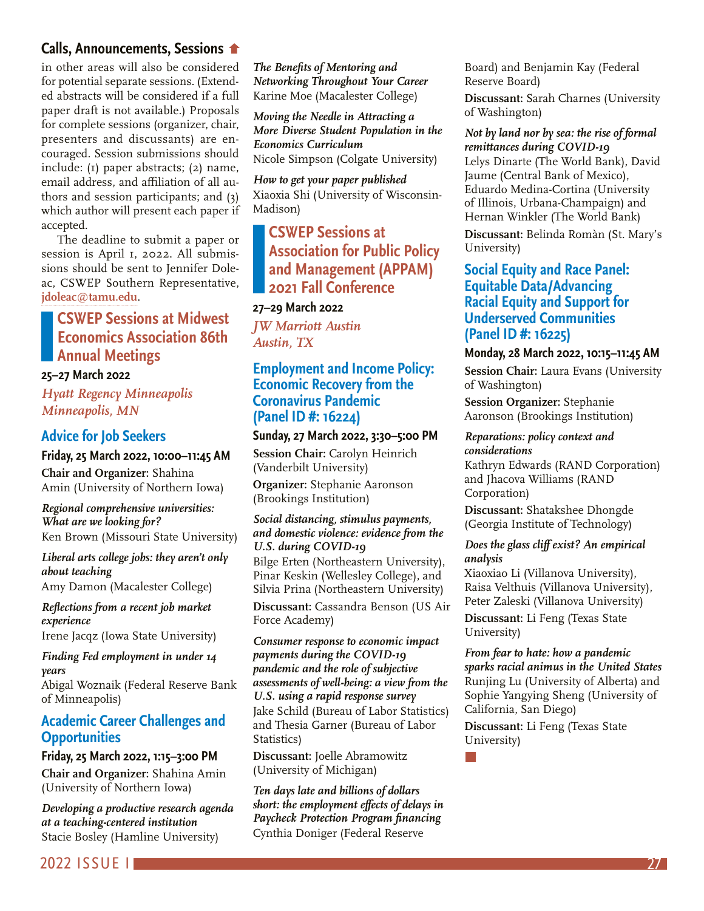## **[Calls, Announcements, Sessions](#page-25-0)**

in other areas will also be considered for potential separate sessions. (Extended abstracts will be considered if a full paper draft is not available.) Proposals for complete sessions (organizer, chair, presenters and discussants) are encouraged. Session submissions should include: (1) paper abstracts; (2) name, email address, and affiliation of all authors and session participants; and (3) which author will present each paper if accepted.

The deadline to submit a paper or session is April 1, 2022. All submissions should be sent to Jennifer Doleac, CSWEP Southern Representative, **[jdoleac@tamu.edu](mailto:jdoleac@tamu.edu)**.

## **CSWEP Sessions at Midwest Economics Association 86th Annual Meetings**

### **25–27 March 2022**

*Hyatt Regency Minneapolis Minneapolis, MN*

## **Advice for Job Seekers**

### **Friday, 25 March 2022, 10:00–11:45 AM**

**Chair and Organizer:** Shahina Amin (University of Northern Iowa)

#### *Regional comprehensive universities: What are we looking for?* Ken Brown (Missouri State University)

*Liberal arts college jobs: they aren't only about teaching* Amy Damon (Macalester College)

*Reflections from a recent job market experience*

Irene Jacqz (Iowa State University)

#### *Finding Fed employment in under 14 years*

Abigal Woznaik (Federal Reserve Bank of Minneapolis)

## **Academic Career Challenges and Opportunities**

#### **Friday, 25 March 2022, 1:15–3:00 PM**

**Chair and Organizer:** Shahina Amin (University of Northern Iowa)

*Developing a productive research agenda at a teaching-centered institution* Stacie Bosley (Hamline University)

*The Benefits of Mentoring and Networking Throughout Your Career* Karine Moe (Macalester College)

*Moving the Needle in Attracting a More Diverse Student Population in the Economics Curriculum* Nicole Simpson (Colgate University)

*How to get your paper published* Xiaoxia Shi (University of Wisconsin-Madison)

## **CSWEP Sessions at Association for Public Policy and Management (APPAM) 2021 Fall Conference**

## **27–29 March 2022**

*JW Marriott Austin Austin, TX*

## **Employment and Income Policy: Economic Recovery from the Coronavirus Pandemic (Panel ID #: 16224)**

## **Sunday, 27 March 2022, 3:30–5:00 PM**

**Session Chair:** Carolyn Heinrich (Vanderbilt University)

**Organizer:** Stephanie Aaronson (Brookings Institution)

#### *Social distancing, stimulus payments, and domestic violence: evidence from the U.S. during COVID-19*

Bilge Erten (Northeastern University), Pinar Keskin (Wellesley College), and Silvia Prina (Northeastern University)

**Discussant:** Cassandra Benson (US Air Force Academy)

*Consumer response to economic impact payments during the COVID-19 pandemic and the role of subjective assessments of well-being: a view from the U.S. using a rapid response survey* Jake Schild (Bureau of Labor Statistics) and Thesia Garner (Bureau of Labor Statistics)

**Discussant:** Joelle Abramowitz (University of Michigan)

*Ten days late and billions of dollars short: the employment effects of delays in Paycheck Protection Program financing* Cynthia Doniger (Federal Reserve

Board) and Benjamin Kay (Federal Reserve Board)

**Discussant:** Sarah Charnes (University of Washington)

*Not by land nor by sea: the rise of formal remittances during COVID-19*  Lelys Dinarte (The World Bank), David Jaume (Central Bank of Mexico), Eduardo Medina-Cortina (University of Illinois, Urbana-Champaign) and Hernan Winkler (The World Bank)

**Discussant:** Belinda Romàn (St. Mary's University)

## **Social Equity and Race Panel: Equitable Data/Advancing Racial Equity and Support for Underserved Communities (Panel ID #: 16225)**

### **Monday, 28 March 2022, 10:15–11:45 AM**

**Session Chair:** Laura Evans (University of Washington)

**Session Organizer:** Stephanie Aaronson (Brookings Institution)

#### *Reparations: policy context and considerations*

Kathryn Edwards (RAND Corporation) and Jhacova Williams (RAND Corporation)

**Discussant:** Shatakshee Dhongde (Georgia Institute of Technology)

### *Does the glass cliff exist? An empirical analysis*

Xiaoxiao Li (Villanova University), Raisa Velthuis (Villanova University), Peter Zaleski (Villanova University)

**Discussant:** Li Feng (Texas State University)

## *From fear to hate: how a pandemic sparks racial animus in the United States*

Runjing Lu (University of Alberta) and Sophie Yangying Sheng (University of California, San Diego)

**Discussant:** Li Feng (Texas State University)